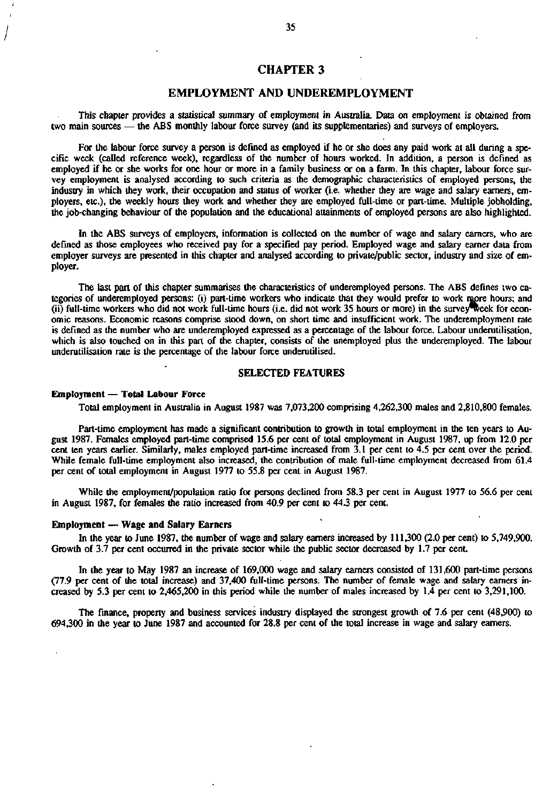# **CHAPTER 3**

# **EMPLOYMENT AND UNDEREMPLOYMENT**

This chapter provides a statistical summary of employment in Australia. Data on employment is obtained from two main sources — the ABS monthly labour force survey (and its supplementaries) and surveys of employers.

For the labour force survey a person is defined as employed if he or she does any paid work at all during a specific week (called reference week), regardless of the number of hours worked. In addition, a person is defined as employed if he or she works for one hour or more in a family business or on a farm. In this chapter, labour force survey employment is analysed according to such criteria as the demographic characteristics of employed persons, the industry in which they work, their occupation and status of worker (i.e. whether they are wage and salary earners, employers, etc.), the weekly hours they work and whether they are employed full-time or part-time. Multiple jobholding, the job-changing behaviour of the population and the educational attainments of employed persons are also highlighted.

In the ABS surveys of employers, information is collected on the number of wage and salary earners, who are defined as those employees who received pay for a specified pay period. Employed wage and salary earner data from employer surveys are presented in this chapter and analysed according to private/public sector, industry and size of employer.

The last part of this chapter summarises the characteristics of underemployed persons. The ABS defines two categories of underemployed persons: (i) part-time workers who indicate that they would prefer to work *rapre* hours; and (ii) full-time workers who did not work full-time hours (i.e. did not work 35 hours or more) in the survey week for economic reasons. Economic reasons comprise stood down, on short time and insufficient work. The underemployment rate is defined as the number who are underemployed expressed as a percentage of the labour force. Labour underutilisation, which is also touched on in this part of the chapter, consists of the unemployed plus the underemployed. The labour underutilisation rate is the percentage of the labour force underutilised.

### **SELECTED FEATURES**

### **Employment** — **Total Labour** Force

Total employment in Australia in August 1987 was 7,073,200 comprising 4,262,300 males and 2,810,800 females.

Part-time employment has made a significant contribution to growth in total employment in the ten years to August 1987. Females employed part-time comprised 15.6 per cent of total employment in August 1987, up from 12.0 per cent ten years earlier. Similarly, males employed part-time increased from 3.1 per cent to 4.5 per cent over the period. While female full-time employment also increased, the contribution of male full-time employment decreased from 61.4 per cent of total employment in August 1977 to 55.8 per cent in August 1987.

While the employment/population ratio for persons declined from 58.3 per cent in August 1977 to 56.6 per cent in August 1987, for females the ratio increased from 40.9 per cent to 44.3 per cent.

### **Employment** — **Wage and Salary Earners**

In the year to June 1987, the number of wage and salary earners increased by 111,300 (2.0 per cent) to 5,749,900. Growth of 3.7 per cent occurred in the private sector while the public sector decreased by 1.7 per cent.

In the year to May 1987 an increase of 169,000 wage and salary earners consisted of 131,600 part-time persons (77.9 per cent of the total increase) and 37,400 full-time persons. The number of female wage and salary earners increased by 5.3 per cent to 2,465,200 in this period while the number of males increased by 1.4 per cent to 3,291,100.

The finance, property and business services industry displayed the strongest growth of 7.6 per cent (48,900) to 694,300 in the year to June 1987 and accounted for 28.8 per cent of the total increase in wage and salary earners.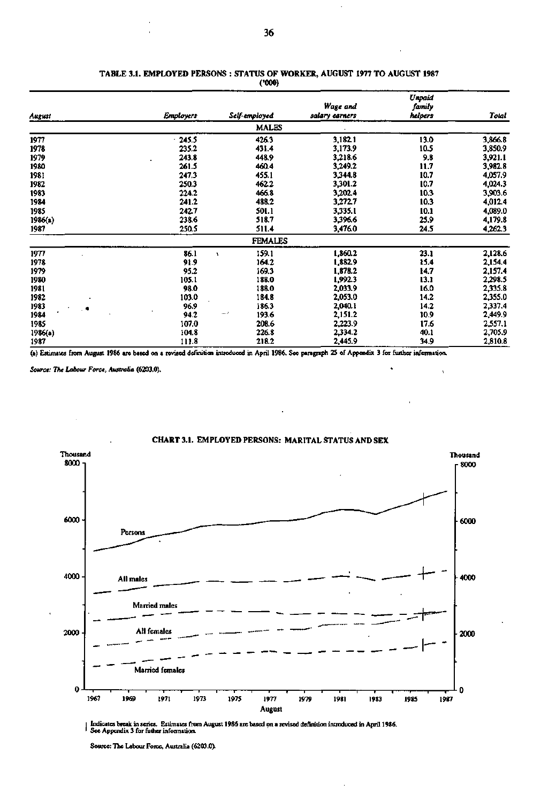|         |                  |                | Wage and       | Unpaid<br>family |         |
|---------|------------------|----------------|----------------|------------------|---------|
| August  | <b>Employers</b> | Self-employed  | salary earners | helpers          | Total   |
|         |                  | <b>MALES</b>   |                |                  |         |
| 1977    | 245.5            | 426.3          | 3,182.1        | 13.0             | 3,866.8 |
| 1978    | 235.2            | 431.4          | 3,173.9        | 10.5             | 3,850.9 |
| 1979    | 243.8            | 448.9          | 3,218.6        | 9.8              | 3,921.1 |
| 1980    | 261.5            | 460.4          | 3,249.2        | 11.7             | 3,982.8 |
| 1981    | 247.3            | 455.1          | 3,344.8        | 10.7             | 4,057.9 |
| 1982    | 250.3            | 462.2          | 3,301.2        | 10.7             | 4,024.3 |
| 1983    | 224.2            | 466.8          | 3,202.4        | 10.3             | 3,903.6 |
| 1984    | 241.2            | 488.2          | 3,272.7        | 10.3             | 4,012.4 |
| 1985    | 242.7            | 501.1          | 3,335.1        | 10.1             | 4,089.0 |
| 1986(a) | 238.6            | 518.7          | 3,396.6        | 25.9             | 4,179.8 |
| 1987    | 250.5            | 511.4          | 3,476.0        | 24.5             | 4,262.3 |
|         |                  | <b>FEMALES</b> |                |                  |         |
| 1977    | 86.1             | 159.1          | 1,860.2        | 23.1             | 2,128.6 |
| 1978    | 91.9             | 164.2          | 1,882.9        | 15.4             | 2,154.4 |
| 1979    | 95.2             | 169.3          | 1,878.2        | 14.7             | 2,157.4 |
| 1980    | 105.1            | 188.0          | 1,992.3        | 13.1             | 2,298.5 |
| 1981    | 98.0             | 188.0          | 2,033.9        | 16.0             | 2,335.8 |
| 1982    | 103.0            | 184.8          | 2,053.0        | 14.2             | 2,355.0 |
| 1983    | 96.9             | 186.3          | 2,040.1        | 14.2             | 2,337.4 |
| 1984    | 94.2             | 193.6<br>∸∙    | 2,151.2        | 10.9             | 2,449.9 |
| 1985    | 107.0            | 208.6          | 2,223.9        | 17.6             | 2,557.1 |
| 1986(a) | 104.8            | 226.8          | 2,334.2        | 40.1             | 2,705.9 |
| 1987    | 111.8            | 218.2          | 2,445.9        | 34.9             | 2,810.8 |

### **TABLE 3.1. EMPLOYED PERSONS : STATUS OF WORKER, AUGUST 1977 TO AUGUST 1987 (•000)**

(a) Estimates from August 1986 are based on a revised definition introduced in April 1986. See paragraph 25 of Appendix 3 for further information.

*Source: The Labour Force, Australia* **(6203.0).** 



Indicates break in series. Estimates from August 1986 are based on a revised definition introduced in April 1986.<br>I See Appendix 3 for futher information.

Source: The Labour Force, Australia (6203.0).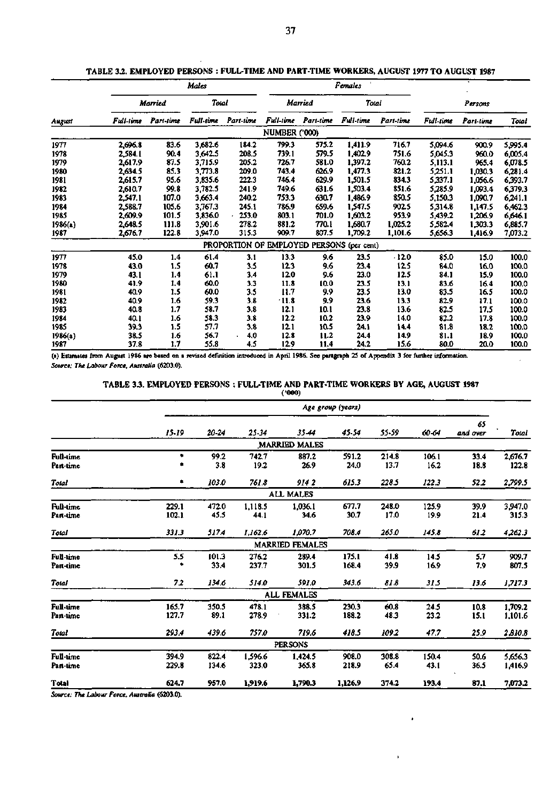|         |           |           | Males     |                        | Females              |           |                    |           |                  |           |         |
|---------|-----------|-----------|-----------|------------------------|----------------------|-----------|--------------------|-----------|------------------|-----------|---------|
|         |           | Married   | Total     |                        |                      | Married   | Total              |           | Persons          |           |         |
| August  | Full-time | Part-time | Full-time | Part-time              | Full-time            | Part-time | Full-time          | Part-time | <b>Full-time</b> | Part-time | Total   |
|         |           |           |           |                        | <b>NUMBER ('000)</b> |           |                    |           |                  |           |         |
| 1977    | 2,696.8   | 83.6      | 3,682.6   | 184.2                  | 799.3                | 575.2     | 1,411.9            | 716.7     | 5,094.6          | 900.9     | 5,995.4 |
| 1978    | 2,584.1   | 90.4      | 3,642.5   | 208.5                  | 739.1                | 579.5     | 1,402.9            | 751.6     | 5,045.3          | 960.0     | 6,005.4 |
| 1979    | 2,617.9   | 87.5      | 3.715.9   | 205.2                  | 726.7                | 581.0     | 1,397.2            | 760.2     | 5,113.1          | 965.4     | 6,078.5 |
| 1980    | 2,634.5   | 85.3      | 3.773.8   | 209.0                  | 743.4                | 626.9     | 1.477.3            | 821.2     | 5,251.1          | 1,030.3   | 6,281.4 |
| 1981    | 2,615.7   | 95.6      | 3,835.6   | 222.3                  | 746.4                | 629.9     | 1,501.5            | 834.3     | 5,337.1          | 1,056.6   | 6,393.7 |
| 1982    | 2,610.7   | 99.8      | 3,782.5   | 241.9                  | 749.6                | 631.6     | 1,503.4            | 851.6     | 5,285.9          | 1,093.4   | 6,379.3 |
| 1983    | 2,547.1   | 107.0     | 3,663.4   | 240.2                  | 753.3                | 630.7     | 1,486.9            | 850.5     | 5,150.3          | 1,090.7   | 6,241.1 |
| 1984    | 2,588.7   | 105.6     | 3,767.3   | 245.1                  | 786.9                | 659.6     | 1,547.5            | 902.5     | 5,314.8          | 1,147.5   | 6,462.3 |
| 1985    | 2,609.9   | 101.5     | 3,836.0   | 253.0                  | 803.1                | 701.0     | 1,603.2            | 953.9     | 5,439.2          | 1,206.9   | 6,646.1 |
| 1986(a) | 2,648.5   | 111.8     | 3.901.6   | 278.2                  | 881.2                | 770.1     | 1,680.7            | 1.025.2   | 5,582.4          | 1,303.3   | 6,885.7 |
| 1987    | 2,676.7   | 122.8     | 3.947.0   | 315.3                  | 909.7                | 807.5     | 1,709.2            | 1,101.6   | 5,656.3          | 1,416.9   | 7,073.2 |
|         |           |           |           | PROPORTION OF EMPLOYED |                      |           | PERSONS (per cent) |           |                  |           |         |
| 1977    | 45.0      | 1.4       | 61.4      | 3.1                    | 13.3                 | 9.6       | 23.5               | $-12.0$   | 85.0             | 15.0      | 100.0   |
| 1978    | 43.0      | 1.5       | 60.7      | 3.5                    | 12.3                 | 9.6       | 23.4               | 12.5      | 84.0             | 16.0      | 100.0   |
| 1979    | 43.1      | 1.4       | 61.1      | 3.4                    | 12.0                 | 9.6       | 23.0               | 12.5      | 84.1             | 15.9      | 100.0   |
| 1980    | 41.9      | 1.4       | 60.0      | 3.3                    | 11.8                 | 10.0      | 23.5               | 13.1      | 83.6             | 16.4      | 100.0   |
| 1981    | 40.9      | 1.5       | 60.0      | 3.5                    | 11.7                 | 9.9       | 23.5               | 13.0      | 83.5             | 16.5      | 100.0   |
| 1982    | 40.9      | 1.6       | 59.3      | 3.8                    | $-11.8$              | 9.9       | 23.6               | 13.3      | 82.9             | 17.1      | 100.0   |
| 1983    | 40.8      | 1.7       | 58.7      | 3.8                    | 12.1                 | 10.1      | 23.8               | 13.6      | 82.5             | 17.5      | 100.0   |
| 1984    | 40.1      | 1.6       | 58.3      | 3.8                    | 12.2                 | 10.2      | 23.9               | 14.0      | 82.2             | 17.8      | 100.0   |
| 1985    | 39.3      | 1.5       | 57.7      | 3.8                    | 12.1                 | 10.5      | 24.1               | 14.4      | 81.8             | 18.2      | 100.0   |
| 1986(a) | 38.5      | 1.6       | 56.7      | 4,0                    | 12.8                 | 11.2      | 24.4               | 14.9      | 81.1             | 18.9      | 100.0   |
| 1987    | 37.8      | 1.7       | 55.8      | 4.5                    | 12.9                 | 11.4      | 24.2               | 15.6      | 80.0             | 20.0      | 100.0   |

**TABLE 3***2.* **EMPLOYED PERSONS : FULL-TIME AND PART-TIME WORKERS, AUGUST 1977 TO AUGUST 1987** 

**(a) Estimates from August 1986 are based on a revised definition introduced in April 1986. See paragraph 25 of Appendix 3 for further information.**  *Source: The Labour Force. Australia* **(6203.0).** 

### **TABLE 33 . EMPLOYED PERSONS : FULL-TIME AND PART-TIME WORKERS BY AGE, AUGUST 1987**   $\mathbf{r}$

|                               |                |                |                  |                        | Age group (years) |               |               |                |                    |
|-------------------------------|----------------|----------------|------------------|------------------------|-------------------|---------------|---------------|----------------|--------------------|
|                               | 15-19          | 20-24          | 25.34            | 35.44                  | 45.54             | 55.59         | 60-64         | 65<br>and over | Total              |
|                               |                |                |                  | <b>MARRIED MALES</b>   |                   |               |               |                |                    |
| <b>Full-time</b><br>Part-time | ٠              | 99.2<br>3.8    | 742.7<br>19.2    | 887.2<br>26.9          | 591.2<br>24.0     | 214.8<br>13.7 | 106.1<br>16.2 | 33.4<br>18.8   | 2,676.7<br>122.8   |
| Total                         | ۰              | 103.0          | 761.8            | 914 2                  | 615.3             | 228.5         | 122.3         | 52.2           | 2,799.5            |
|                               |                |                |                  | <b>ALL MALES</b>       |                   |               |               |                |                    |
| <b>Full-time</b><br>Part-time | 229.1<br>102.1 | 472.0<br>45.5  | 1,118.5<br>44.1  | 1,036.1<br>34.6        | 677.7<br>30.7     | 248.0<br>17.0 | 125.9<br>19.9 | 39.9<br>21.4   | 3.947.0<br>315.3   |
| Total                         | 331.3          | 517.4          | 1,162.6          | 1,070.7                | 708.4             | 265.0         | 145.8         | 612            | 4,262.3            |
|                               |                |                |                  | <b>MARRIED FEMALES</b> |                   |               |               |                |                    |
| Full-time<br>Part-time        | 5.5<br>٠       | 101.3<br>33.4  | 276.2<br>237.7   | 289.4<br>301.5         | 175.1<br>168.4    | 41.8<br>39.9  | 14.5<br>16.9  | 5.7<br>7.9     | 909.7<br>807.5     |
| Total                         | 72             | 134.6          | 514.0            | 591.0                  | 343.6             | 81.8          | 315           | 13.6           | 1,717.3            |
|                               |                |                |                  | <b>ALL FEMALES</b>     |                   |               |               |                |                    |
| Full-time<br>Part-time        | 165.7<br>127.7 | 350.5<br>89.1  | 478.1<br>278.9   | 388.5<br>331.2         | 230.3<br>188.2    | 60.8<br>48.3  | 24.5<br>23.2  | 10.8<br>15.1   | 1,709.2<br>1,101.6 |
| Total                         | 293.4          | 439.6          | 757.0            | 719.6                  | 418.5             | 109.2         | 47.7          | 25.9           | 2,810.8            |
|                               |                |                |                  | <b>PERSONS</b>         |                   |               |               |                |                    |
| Full-time<br>Part-time        | 394.9<br>229.8 | 822.4<br>134.6 | 1,596.6<br>323.0 | 1,424.5<br>365.8       | 908.0<br>218.9    | 308.8<br>65.4 | 150.4<br>43.1 | 50.6<br>36.5   | 5,656.3<br>1,416.9 |
| <b>Total</b>                  | 624.7          | 957.0          | 1,919.6          | 1,790.3                | 1,126.9           | 374.2         | 193.4         | 87.1           | 7,073.2            |

*Source: The Labour Force, Australia* **(6203.0).**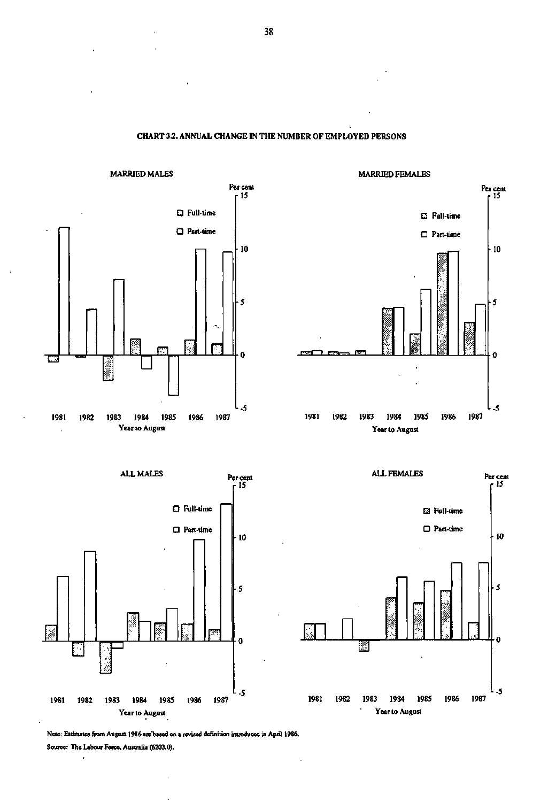**MARRIED MALES MARRIED FEMALES Per cent Per cent r l 5 r l 5 • Full-time • Full-time D Part-time • Part-time •10 •10 • 5**  5 **D** *El*   $^{\prime\prime}$  \*  $^{\prime\prime}$ Ď Ō  $-$ **-5 -5 1981 1982 1983 1984 1985 1986 1987 Year to August** 







**Note: Estimates from August 1986 are'based on a revised definition intioduced in April 1986. Source: The Labour Force, Australia (6203.0).** 

**CHART 3.2. ANNUAL CHANGE IN THE NUMBER OF EMPLOYED PERSONS**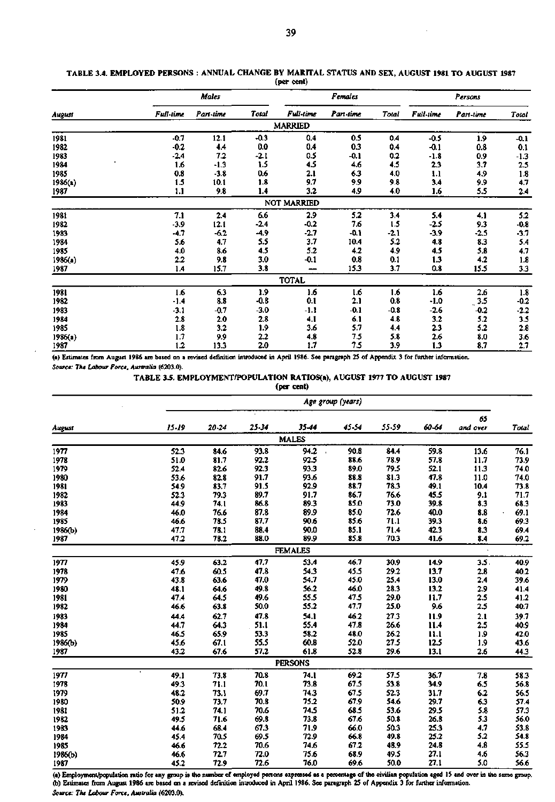|         |           | Males     |              |                  | <b>Females</b> |        | Persons   |           |                   |
|---------|-----------|-----------|--------------|------------------|----------------|--------|-----------|-----------|-------------------|
| August  | Full-time | Part-time | <b>Total</b> | <b>Full-time</b> | Part-time      | Total  | Full-time | Part-time | Total             |
|         |           |           |              | <b>MARRIED</b>   |                |        |           |           |                   |
| 1981    | $-0.7$    | 12.1      | $-0.3$       | 0.4              | 0.5            | 0.4    | $-0.5$    | 1.9       | $-0.1$            |
| 1982    | $-0.2$    | 4.4       | 0.0          | 0.4              | 0.3            | 0.4    | -0.1      | 0.8       | 0.1               |
| 1983    | $-2.4$    | 7.2       | $-2.1$       | 0.5              | $-0.1$         | 0.2    | $-1.8$    | 0.9       | $-1.3$            |
| 1984    | 1.6       | $-1.3$    | 1.5          | 4.5              | 4.6            | 4,5    | 2.3       | 3.7       | 2.5               |
| 1985    | 0.8       | $-3.8$    | 0.6          | 2.1              | 6.3            | 4.0    | 1.1       | 4.9       | 1.8               |
| 1986(a) | 1.5       | 10.1      | 1.8          | 9.7              | 9.9            | 9.8    | 3.4       | 9.9       | 4.7               |
| 1987    | 1.1       | 9.8       | 1.4          | 3.2              | 4.9            | 4.0    | 1.6       | 5.5       | 2.4               |
|         |           |           |              | NOT MARRIED      |                |        |           |           |                   |
| 1981    | 7.1       | 2.4       | 6.6          | 2.9              | 5.2            | 3.4    | 5.4       | 4.1       | 5.2               |
| 1982    | $-3.9$    | 12.1      | $-2.4$       | $-0.2$           | 7.6            | 1.5    | -2.5      | 9.3       | $-0.8$            |
| 1983    | $-4.7$    | $-6.2$    | $-4.9$       | $-2.7$           | $-0.1$         | $-2.1$ | $-3.9$    | $-2.5$    | $-3.7$            |
| 1984    | 5.6       | 4.7       | 5.5          | 3.7              | 10.4           | 5.2    | 4.8       | 8.3       | 5.4               |
| 1985    | 4.0       | 8.6       | 4.5          | 5.2              | 4.2            | 4.9    | 4.5       | 5.8       | 4.7               |
| 1986(a) | $2.2\,$   | 9.8       | 3.0          | $-0.1$           | 0.8            | 0.1    | 1.3       | 4.2       | 1.8               |
| 1987    | 1.4       | 15.7      | 3.8          |                  | 15.3           | 3.7    | 0.8       | 15.5      | 3.3               |
|         |           |           |              | <b>TOTAL</b>     |                |        |           |           |                   |
| 1981    | 1.6       | 6.3       | 1.9          | 1.6              | 1.6            | 1.6    | 1.6       | 2.6       | 1.8               |
| 1982    | -1.4      | 8.8       | $-0.8$       | 0.1              | 2.1            | 0.8    | $-1.0$    | 3.5       | $-0.2$            |
| 1983    | $-3.1$    | -0.7      | $-3.0$       | $-1.1$           | $-0.1$         | -0.8   | $-2.6$    | $-0.2$    | $-2.2$            |
| 1984    | 2.8       | 2.0       | 2.8          | 4.1              | 6.1            | 4.8    | 3.2       | 5.2       | 3.5               |
| 1985    | 1.8       | 3.2       | 1.9          | 3.6              | 5.7            | 4.4    | 2.3       | 5.2       | 2.8               |
| 1986(a) | 1.7       | 9.9       | 2.2          | 4.8              | 7.5            | 5.8    | 2.6       | 8.0       |                   |
| 1987    | 1.2       | 13.3      | 2.0          | 1.7              | 7.5            | 3.9    | 1.3       | 8.7       | $\frac{3.6}{2.7}$ |

### TABLE 3.4. EMPLOYED PERSONS : ANNUAL CHANGE BY MARITAL STATUS AND SEX, AUGUST 1981 TO AUGUST 1987 (per cent)

**(a) Estimates from August 1986 are based on a revised definition introduced in April 1986. See paragraph 25 of Appendix 3 for further information.**  *Source: The Labour Force, Australia* **(6203.0).** 

**TABLE 3.5. EMPLOYMENT/POPULATION RATIOS(a), AUGUST 1977 TO AUGUST 1987** 

**(per** cent)

|         |         | Age group (years) |       |                |       |       |       |                |              |  |  |
|---------|---------|-------------------|-------|----------------|-------|-------|-------|----------------|--------------|--|--|
| August  | $15-19$ | $20 - 24$         | 25-34 | 35-44          | 45-54 | 55.59 | 60-64 | 65<br>and over | <b>Total</b> |  |  |
|         |         |                   |       | <b>MALES</b>   |       |       |       |                |              |  |  |
| 1977    | 52.3    | 84.6              | 93.8  | 94.2           | 90.8  | 84.4  | 59.8  | 13.6           | 76.1         |  |  |
| 1978    | 51.0    | 81.7              | 92.2  | 92.5           | 88.6  | 78.9  | 57.8  | 11.7           | 73.9         |  |  |
| 1979    | 52.4    | 82.6              | 92.3  | 93.3           | 89.0  | 79.5  | 52.1  | 11.3           | 74.0         |  |  |
| 1980    | 53.6    | 82.8              | 91.7  | 93.6           | 88.8  | 81.3  | 47.8  | 11.0           | 74.0         |  |  |
| 1981    | 54.9    | 83.7              | 91.5  | 92.9           | 88.7  | 78.3  | 49.1  | 10.4           | 73.8         |  |  |
| 1982    | 52.3    | 79.3              | 89.7  | 91.7           | 86.7  | 76.6  | 45.5  | 9.1            | 71.7         |  |  |
| 1983    | 44.9    | 74.1              | 86.8  | 89.3           | 85.0  | 73.0  | 39.8  | 8.3            | 68.3         |  |  |
| 1984    | 46.0    | 76.6              | 87.8  | 89.9           | 85.0  | 72.6  | 40.0  | 8.8            | 69.1         |  |  |
| 1985    | 46.6    | 78.5              | 87.7  | 90.6           | 85.6  | 71.1  | 39.3  | 8.6            | 69.3         |  |  |
| 1986(b) | 47.7    | 78.1              | 88.4  | 90.0           | 85.1  | 71.4  | 42.3  | 8.3            | 69.4         |  |  |
| 1987    | 47.2    | 78.2              | 88.0  | 89.9           | 85.8  | 70.3  | 41.6  | 8.4            | 69.2         |  |  |
|         |         |                   |       | <b>FEMALES</b> |       |       |       |                |              |  |  |
| 1977    | 45.9    | 63.2              | 47.7  | 53.4           | 46.7  | 30.9  | 14.9  | 3.5            | 40.9         |  |  |
| 1978    | 47.6    | 60.5              | 47.8  | 54.3           | 45.5  | 29.2  | 13.7  | $2.8$          | 40.2         |  |  |
| 1979    | 43.8    | 63.6              | 47.0  | 54.7           | 45.0  | 25.4  | 13.0  | 2.4            | 39.6         |  |  |
| 1980    | 48.1    | 64.6              | 49.8  | 56.2           | 46.0  | 28.3  | 13.2  | 2.9            | 41.4         |  |  |
| 1981    | 47.4    | 64.5              | 49.6  | 55.5           | 47.5  | 29.0  | 11.7  | 2.5            | 41.2         |  |  |
| 1982    | 46.6    | 63.8              | 50.0  | 55.2           | 47.7  | 25.0  | 9.6   | 2.5            | 40.7         |  |  |
| 1983    | 44.4    | 62.7              | 47.8  | 54.1           | 46.2  | 27.3  | 11.9  | 2.1            | 39.7         |  |  |
| 1984    | 44.7    | 64.3              | 51.1  | 55.4           | 47.8  | 26.6  | 11.4  | 2.5            | 40.9         |  |  |
| 1985    | 46.5    | 65.9              | 53.3  | 58.2           | 48.0  | 26.2  | 11.1  | 1.9            | 42.0         |  |  |
| 1986(b) | 45.6    | 67.1              | 55.5  | 60.8           | 52.0  | 27.5  | 12.5  | 1.9            | 43.6         |  |  |
| 1987    | 43.2    | 67.6              | 57.2  | 61.8           | 52.8  | 29.6  | 13.1  | 2.6            | 44.3         |  |  |
|         |         |                   |       | <b>PERSONS</b> |       |       |       |                |              |  |  |
| 1977    | 49.1    | 73.8              | 70.8  | 74.1           | 69.2  | 57.5  | 36.7  | 7.8            | 58.3         |  |  |
| 1978    | 49.3    | 71.1              | 70.1  | 73.8           | 67.5  | 53.8  | 34.9  | 6.5            | 56.8         |  |  |
| 1979    | 48.2    | 73.1              | 69.7  | 74.3           | 67.5  | 52.3  | 31.7  | 6.2            | 56.5         |  |  |
| 1980    | 50.9    | 73.7              | 70.8  | 75.2           | 67.9  | 54.6  | 29.7  | 6.3            | 57.4         |  |  |
| 1981    | 51.2    | 74.1              | 70.6  | 74.5           | 68.5  | 53.6  | 29.5  | 5.8            | 57.3         |  |  |
| 1982    | 49.5    | 71.6              | 69.8  | 73.8           | 67.6  | 50.8  | 26.8  | 5.3            | 56.0         |  |  |
| 1983    | 44.6    | 68.4              | 67.3  | 71.9           | 66.0  | 50.3  | 25.3  | 4.7            | 53.8         |  |  |
| 1984    | 45.4    | 70.5              | 69.5  | 72.9           | 66.8  | 49.8  | 25.2  | 5.2            | 54.8         |  |  |
| 1985    | 46.6    | 72.2              | 70.6  | 74.6           | 67.2  | 48.9  | 24.8  | 4.8            | 55.5         |  |  |
| 1986(b) | 46.6    | 72.7              | 72.0  | 75.6           | 68.9  | 49.5  | 27.1  | 4.6            | 56.3         |  |  |
| 1987    | 45.2    | 72.9              | 72.6  | 76.0           | 69.6  | 50.0  | 27.1  | 5.0            | 56.6         |  |  |

**(a) Employmentypopulation ratio for any group is the number of employed persons expressed as a percentage of the civilian population aged IS and over in the same group. (b) Estimates from August 1986 are based on a revised definition introduced in April 1986. See paragraph 25 of Appendix 3 for further information.**  *Source: The Labour Force, Australia* **(6203.0).**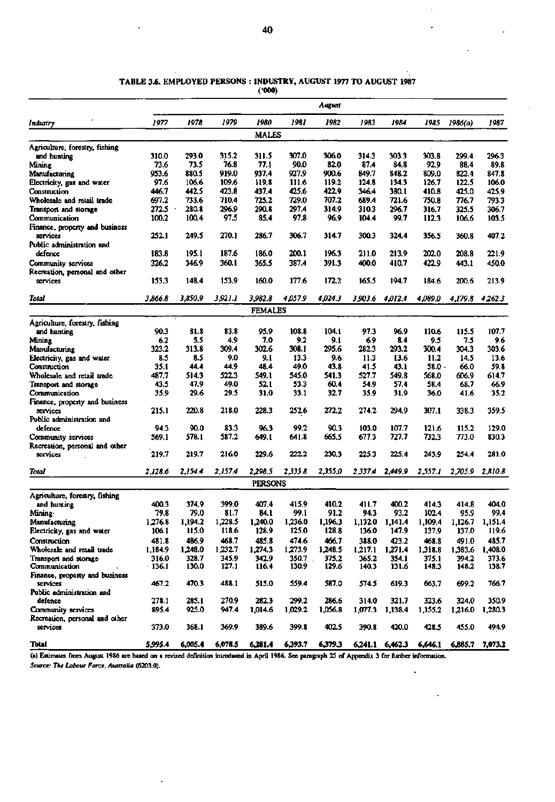|                                                      |               |               |               |                |               | August        |                |                 |         |         |                |
|------------------------------------------------------|---------------|---------------|---------------|----------------|---------------|---------------|----------------|-----------------|---------|---------|----------------|
| Industry                                             | 1977          | 1978          | 1979          | 1980           | 1981          | 1982          | 1983           | 1984            | 1985    | 1986(a) | 1987           |
|                                                      |               |               |               | <b>MALES</b>   |               |               |                |                 |         |         |                |
| Agriculture, forestry, fishing                       |               |               |               |                |               |               |                |                 |         |         |                |
| and hunting                                          | 310.0         | 293.0         | 315.2         | 311.5          | 307.0         | 306.0         | 314.3          | 303.3           | 303.8   | 299.4   | 296.3          |
| Mining                                               | 73.6          | 73.5          | 76.8          | 77.1           | 90.0          | 82.0          | 87.4           | 84.8            | 92.9    | 88.4    | 89.8           |
| Manufacturing                                        | 953.6         | 880.5         | 919.0         | 937.4          | 927.9         | 900.6         | 849.7          | 848.2           | 809.0   | 822.4   | 847.8          |
| Electricity, gas and water                           | 97.6          | 106.6         | 109.6         | 119.8          | 111.6         | 119.2         | 124.8          | 134.3           | 126.7   | 122.5   | 106.0          |
| Construction                                         | 446.7         | 442.5         | 423.8         | 437.4          | 425.6         | 422.9         | 346.4          | 380.1           | 410.8   | 425.0   | 425.9          |
| Wholesale and retail trade                           | 697.2         | 733.6         | 710.4         | 725.2          | 729.0         | 707.2         | 689.4          | 721.6           | 750.8   | 776.7   | 793.3          |
| Transport and storage                                | 272.5         | 280.8         | 296.9         | 290.8          | 297.4         | 314.9         | 310.3          | 296.7           | 316.7   | 325.5   | 306.7          |
| Communication                                        | 100.2         | 100.4         | 97.5          | 85.4           | 97.8          | 96.9          | 104.4          | 99.7            | 112.3   | 106.6   | 103.5          |
| Finance, property and business                       |               |               |               |                |               |               |                |                 |         |         |                |
| services                                             | 252.1         | 249.5         | 270.1         | 286.7          | 306.7         | 314.7         | 300.3          | 324.4           | 356.5   | 360.8   | 407.2          |
| Public administration and<br>defence                 | 183.8         | 195.1         | 187.6         | 186.0          | 200.1         | 196.3         | 211.0          | 213.9           | 202.0   | 208.8   | 221.9          |
|                                                      | 326.2         | 346.9         | 360.1         | 365.5          | 387.4         | 391.3         | 400.0          | 410.7           | 422.9   |         | 450.0          |
| Community services<br>Recreation, personal and other |               |               |               |                |               |               |                |                 |         | 443.1   |                |
| services                                             | 153.3         | 148.4         | 153.9         | 160.0          | 177.6         | 172.2         | 165.5          | 194.7           | 184.6   | 200.6   | 213.9          |
|                                                      |               |               |               |                |               |               |                |                 |         |         |                |
| Total                                                | 3.866.8       | 3,850.9       | 3,921.1       | 3,982.8        | 4.057.9       | 4.024.3       | 3,903.6        | 4,012.4         | 4.089.0 | 4.179.8 | 4,262.3        |
|                                                      |               |               |               | <b>FEMALES</b> |               |               |                |                 |         |         |                |
| Agriculture, forestry, fishing                       |               |               |               |                |               |               |                |                 |         |         |                |
| and bunting                                          | 90.3          | 81.8          | 83.8          | 95.9           | 108.8         | 104.1         | 97.3           | 96.9            | 110.6   | 115.5   | 107.7          |
| Mining                                               | 62            | 5.5           | 4.9           | 7.0            | 9.2           | 9.1           | 6.9            | 8.4             | 9.5     | 7.5     | 9.6            |
| Manufacturing                                        | 323.2         | 313.8         | 309.4         | 302.6          | 308.1         | 295.6         | 282.3          | 293.2           | 300.4   | 304.3   | 303.6          |
| Electricity, gas and water                           | 8.5           | 8.5           | 9.0           | 9.1            | 13.3          | 9.6           | 11.3           | 13.6            | 11.2    | 14.5    | 13.6           |
| Construction                                         | 35.1          | 44.4          | 44.9          | 48.4           | 49.0          | 43.8          | 41.5           | 43.1            | 58.0 -  | 66.0    | 59.8           |
| Wholesale and retail trade                           | 487.7         | 514.3         | 522.3         | 549.1          | 545.0         | 541.3         | 527.7          | 549.8           | 568.0   | 606.9   | 614.7          |
| Transport and storage                                | 43.5          | 47.9          | 49.0          | 52.1           | 53.3          | 60.4          | 54.9           | 57.4            | 58.4    | 68.7    | 66.9           |
| Communication                                        | 35.9          | 29.6          | 29.5          | 31.0           | 33.1          | 32.7          | 35.9           | 31.9            | 36.0    | 41.6    | 35.2           |
| Finance, property and business                       |               |               |               |                |               |               |                |                 |         |         |                |
| services                                             | 215.1         | 220.8         | 218.0         | 228.3          | 252.6         | 272.2         | 274.2          | 294.9           | 307.1   | 338.3   | 359.5          |
| Public administration and                            |               |               |               |                |               |               |                |                 |         |         |                |
| defence                                              | 94.3          | 90.0<br>578.1 | 83.3<br>587.2 | 96.3<br>649.1  | 99.2<br>641.8 | 90.3<br>665.5 | 103.0<br>677.3 | 107.7<br>727.7  | 121.6   | 115.2   | 129.0<br>830.3 |
| Community services                                   | 569.1         |               |               |                |               |               |                |                 | 732.3   | 773.0   |                |
| Recreation, personal and other<br>services           | 219.7         | 219.7         | 216.0         | 229.6          | 222.2         | 230.3         | 225.3          | 225.4           | 243.9   | 254.4   | 281.0          |
|                                                      |               |               |               |                |               |               |                |                 |         |         |                |
| Total                                                | 2,128.6       | 2,154.4       | 2.157.4       | 2,298.5        | 2,335.8       | 2,355.0       | 2,337.4        | 2.449.9         | 2,557.1 | 2,705.9 | 2,810.8        |
|                                                      |               |               |               | <b>PERSONS</b> |               |               |                |                 |         |         |                |
| Agriculture, forestry, fishing                       |               |               |               |                |               |               |                |                 |         |         |                |
| and hunting                                          | 400.3         | 374.9         | 399.0         | 407.4          | 415.9         | 410.2         | 411.7          | 400.2           | 414.3   | 414.8   | 404.0          |
| Mining .                                             | 79.8          | 79.0          | 81.7          | 84.1           | 99.1          | 91.2          | 94.3           | 93.2            | 102.4   | 95.9    | 99.4           |
| Manufacturing                                        | 1,276.8       | 1,194.2       | 1,228.5       | 1,240.0        | 1,236.0       | 1,196.3       | 1.132.0        | 1,141.4         | 1,109.4 | 1,126.7 | 1,151.4        |
| Electricity, gas and water                           | 106.1         | 115.0         | 118.6         | 128.9          | 125.0         | 128.8         | 136.0          | 147.9           | 137.9   | 137.0   | 119.6          |
| Construction                                         | 481.8         | 486.9         | 468.7         | 485.8          | 474.6         | 466.7         | 388.0          | 423.2           | 468.8   | 491.0   | 485.7          |
| Wholesale and retail trade                           | 1,184.9       | 1,248.0       | 1,232.7       | 1,274.3        | 1,273.9       | 1,248.5       | 1.217.1        | 1,271.4         | 1,318.8 | 1,383.6 | 1,408.0        |
| Transport and storage                                | 316.0         | 328.7         | 345.9         | 342.9          | 350.7         | 375.2         | 365.2          | 354.1           | 375.1   | 394.2   | 373.6          |
| Communication                                        | $\cdot$ 136.1 | 130.0         | 127.1         | 116.4          | 130.9         | 129.6         | 140.3          | 131.6           | 148.3   | 148.2   | 138.7          |
| Finance, property and business<br>services           | 467.2         | 470.3         | 488.1         |                |               |               |                |                 |         |         | 766.7          |
| Public administration and                            |               |               |               | 515.0          | 559.4         | 587.0         | 574.5          | 619.3           | 663.7   | 699.2   |                |
| defence                                              | 278.1         | 285.1         | 270.9         | 282.3          | 299.2         | 286.6         | 314.0          | 321.7           | 323.6   | 324.0   | 350.9          |
| Community services                                   | 895.4         | 925.0         | 947.4         | 1,014.6        | 1,029.2       | 1,056.8       | 1,077.3        | 1,138.4         | 1,155.2 | 1,216.0 | 1,280.3        |
| Recreation, personal and other                       |               |               |               |                |               |               |                |                 |         |         |                |
| services                                             | 373.0         | 368.1         | 369.9         | 389.6          | 399.8         | 402.5         | 390.8          | 420.0           | 428.5   | 455.0   | 494.9          |
| Total                                                | 5,995.4       | 6,005.4       | 6,078.5       | 6,281.4        | 6,393.7       | 6,379.3       |                | 6,241.1 6,462.3 | 6,646.1 | 6,885.7 | 7,073.2        |

### **TABLE 3.6. EMPLOYED PERSONS : INDUSTRY, AUGUST 1977 TO AUGUST 1987 (•000)**

**(a) Estimates from August 1986 are based on a revised definition introduced in April 1986. See paragraph 25 of Appendix 3 for further information.**  *Source: The Labour Force. Australia* **(6203.0).**  $\ddot{\phantom{0}}$ 

 $\ddot{\phantom{a}}$ 

 $\overline{a}$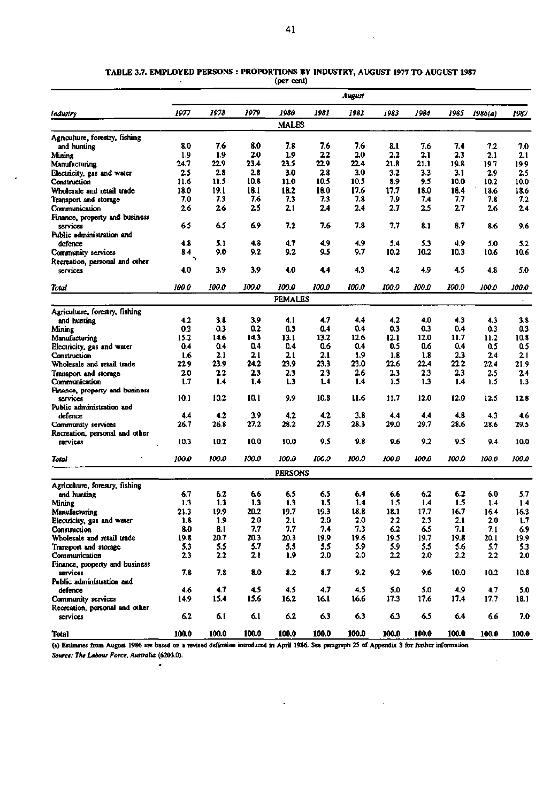|                                                     |             |            |              |                |             | August       |             |             |              |             |             |
|-----------------------------------------------------|-------------|------------|--------------|----------------|-------------|--------------|-------------|-------------|--------------|-------------|-------------|
| Industry                                            | 1977        | 1978       | 1979         | 1980           | 1981        | 1982         | 1983        | 1984        | 1985         | 1986(a)     | 1987        |
|                                                     |             |            |              | <b>MALES</b>   |             |              |             |             |              |             |             |
| Agriculture, forestry, fishing                      |             |            |              |                |             |              |             |             |              |             |             |
| and hunting                                         | 8.0         | 7.6        | 8.0          | 7.8            | 76          | 7.6          | 8.1         | 7.6         | 7.4          | 7.2         | 7.0         |
| Mining                                              | 1.9         | 1.9        | 20           | 1.9            | 22          | 20           | 2.2         | 21          | 2.3          | 2.1         | 2.1         |
| Manufacturing                                       | 24.7        | 22.9       | 23.4         | 23.5           | 22.9        | 22.4         | 21.8        | 21.1        | 19.8         | 19.7        | 19.9        |
| Electricity, gas and water                          | 2.5         | 2.8        | 2.8          | 3.0            | 2.8         | 3.0          | 3.2         | 3.3         | 3.1          | 2.9         | 2.5         |
| Construction                                        | 11.6        | 11.5       | 10.8<br>18.1 | 11.0<br>18.2   | 10.5        | 10.5<br>17.6 | 8.9<br>17.7 | 9.5         | 10.0<br>18.4 | 10.2        | 10.0        |
| Wholesale and retail trade<br>Transport and storage | 18.0<br>7.0 | 19.1<br>73 | 7.6          | 7.3            | 18.0<br>7.3 | 7.8          | 7.9         | 18.0<br>7.4 | 7.7          | 18.6<br>7.8 | 18.6<br>7.2 |
| Communication                                       | 2.6         | 26         | 25           | 21             | 2.4         | 2.4          | 2.7         | 2.5         | 2.7          | 26          | 2.4         |
| Finance, property and business                      |             |            |              |                |             |              |             |             |              |             |             |
| services                                            | 6.5         | 6.5        | 6.9          | 7.2            | 7.6         | 7.8          | 7.7         | 8.1         | 8.7          | 8.6         | 9.6         |
| Public administration and                           |             |            |              |                |             |              |             |             |              |             |             |
| defence                                             | 4.8         | 5.1        | 4.8          | 4.7            | 4.9         | 4.9          | 5.4         | 5.3         | 4.9          | 5.0         | 5.2         |
| Community services                                  | 8.4         | 9.0        | 9.2          | 9.2            | 9.5         | 9.7          | 10.2        | 10.2        | 10.3         | 10.6        | 10.6        |
| Recreation, personal and other                      |             |            |              |                |             |              |             |             |              |             |             |
| services                                            | 4.0         | 3.9        | 3.9          | 4.0            | 4.4         | 4.3          | 4.2         | 4.9         | 4.5          | 4.8         | 5.0         |
| Total                                               | 100.0       | 100.0      | 100.0        | 100.0          | 100.0       | 100.0        | 100.0       | 100.0       | 100.0        | 100.0       | 100.0       |
|                                                     |             |            |              | <b>FEMALES</b> |             |              |             |             |              |             | $\bullet$ . |
| Agriculture, forestry, fishing                      |             |            |              |                |             |              |             |             |              |             |             |
| and hunting                                         | 4.2         | 3.8        | 3.9          | 4.1            | 4.7         | 4,4          | 4.2         | 4.0         | 4.3          | 4.3         | 3.8         |
| Mining                                              | 0.3         | 0.3        | 0.2          | 0.3            | 0.4         | 0.4          | 0.3         | 0.3         | 0.4          | 0.3         | 0.3         |
| Manufacturing                                       | 15.2        | 14.6       | 14.3         | 13.1           | 13.2        | 12.6         | 12.1        | 12.0        | 11.7         | 11.2        | 10.8        |
| Electricity, gas and water                          | 0.4         | 0.4        | 0.4          | 0.4            | 0.6         | 0.4          | 0.5         | 0.6         | 0.4          | 0.5         | 0.5         |
| Construction                                        | 1.6         | 2.1        | 2.1          | 21             | 2.1         | 1.9          | 1.8         | 1.8         | 2.3          | 24          | 2.1         |
| Wholesale and retail trade                          | 22.9        | 23.9       | 24.2         | 23.9           | 23.3        | 23.0         | 22.6        | 22.4        | 22.2         | 22.4        | 21.9        |
| Transport and storage                               | 2.0         | 2.2        | 2.3          | 2.3            | 23          | 26           | 2.3         | 2.3         | 2.3          | 2.5         | 2.4         |
| Communication                                       | 1.7         | 1.4        | 1.4          | 1.3            | 1.4         | 1.4          | 1.5         | 1.3         | 1.4          | 1.5         | 1.3         |
| Finance, property and business<br>services          | 10.1        | 10.2       | 10.1         | 9.9            | 10.8        | 11.6         | 11.7        | 12.0        | 12.0         | 12.5        | 12.8        |
| Public administration and                           |             |            |              |                |             |              |             |             |              |             |             |
| defence                                             | 4.4         | 4.2        | 3.9          | 4.2            | 4.2         | 3.8          | 4.4         | 4.4         | 4.8          | 4.3         | 4.6         |
| Community services                                  | 26.7        | 26.8       | 27.2         | 28.2           | 27.5        | 28.3         | 29.0        | 29.7        | 28.6         | 28.6        | 29.5        |
| Recreation, personal and other                      |             |            |              |                |             |              |             |             |              |             |             |
| services                                            | 10.3        | 10.2       | 10.0         | 10.0           | 9.5         | 9.8          | 9.6         | 9.2         | 9.5          | 9.4         | 10.0        |
| Total                                               | 100.0       | 100.0      | 100.0        | 100.0          | 100.0       | 100.0        | 100.0       | 100.0       | 100.0        | 100.0       | 100.0       |
|                                                     |             |            |              | <b>PERSONS</b> |             |              |             |             |              |             |             |
| Agriculture, forestry, fishing                      |             |            |              |                |             |              |             |             |              |             |             |
| and hunting                                         | 6.7         | 6.2        | 6.6          | 65             | 6.5         | 64           | 6.6         | 6.2         | 6.2          | 6.0         | 5.7         |
| Mining                                              | 1.3         | 1.3        | 1.3          | 1.3            | $1.5\,$     | 1.4          | 1.5         | 1.4         | 1.5          | 1.4         | 1.4         |
| Manufacturing                                       | 21.3        | 19.9       | 20.2         | 19.7           | 19.3        | 18.8         | 18.1        | 17.7        | 16.7         | 16.4        | 16.3        |
| Electricity, gas and water                          | 1.8         | 1.9        | 2.0          | 21             | 2.0         | 2.0          | 2.2         | 2.3         | 2.1          | 2.0         | 1.7         |
| Construction                                        | 8.0         | 8.1        | 7.7          | 7.7            | 7.4         | 7.3          | 6.2         | 6.5         | 7.1          | 7.1         | 6.9         |
| Wholesale and retail trade                          | 19.8        | 20.7       | 20.3         | 20.3           | 19.9        | 19.6         | 19.5        | 19.7        | 19.8         | 20.1        | 19.9        |
| Transport and storage                               | 5.3         | 5.5        | 5.7          | 5.5            | 5.5         | 5.9          | 5.9         | 5.5         | 5.6          | 5.7         | 5.3         |
| Communication                                       | 23          | 2.2        | 2.1          | 1.9            | 2.0         | 20           | 22          | 20          | 2.2          | 2.2         | 2.0         |
| Finance, property and business<br>services          | 7.8         | 7.8        | 8.0          | 8.2            | 8.7         | 9.2          | 9.2         | 9.6         | 10.0         | 10.2        | 10.8        |
| Public administration and                           |             |            |              |                |             |              |             |             |              |             |             |
| defence                                             | 4.6         | 4.7        | 4.5          | 4.5            | 4.7         | 4.5          | 5.0         | 5.0         | 4.9          | 4.7         | 5.0         |
| Community services                                  | 14.9        | 15.4       | 15.6         | 16.2           | 16.1        | 16.6         | 17.3        | 17.6        | 17.4         | 17.7        | 18.1        |
| Recreation, personal and other                      |             |            |              |                |             |              |             |             |              |             |             |
| services                                            | 6.2         | 6.1        | 6.1          | 6.2            | 6.3         | 6.3          | 6.3         | 6.5         | 6.4          | 6.6         | 7.0         |
| Total                                               | 100.0       | 100.0      | 100.0        | 100.0          | 100.0       | 100.0        | 100.0       | 100.0       | 100.0        | 100.0       | 100.0       |

### TABLE 3.7. EMPLOYED PERSONS : PROPORTIONS BY INDUSTRY, AUGUST 1977 TO AUGUST 1987 **(per cent)**

**(a) Estimates from August 1986 are based on a revised definition introduced in April 1986. See paragraph 25 of Appendix 3 for further information.**  *Source: The Labour Force, Australia* **(6203.0).** 

 $\ddot{\phantom{0}}$ 

 $\overline{a}$ 

 $\bullet$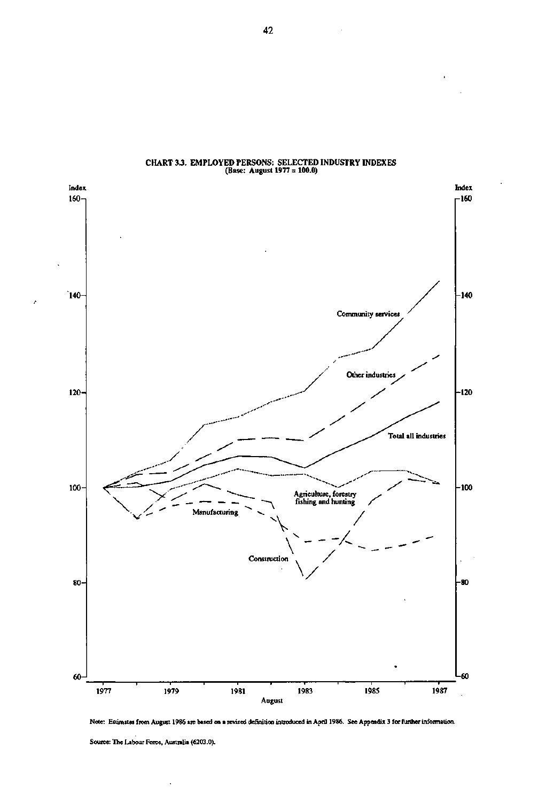

# **CHART 3** *3 .* **EMPLOYED PERSONS: SELECTED INDUSTRY INDEXES (Base: August 1977 = 100.0)**

Note: Estimates from August 1986 are based on a revised definition introduced in April 1986. **See Appendix 3 for further** information.

Source: The Labour Force, Australia (6203.0).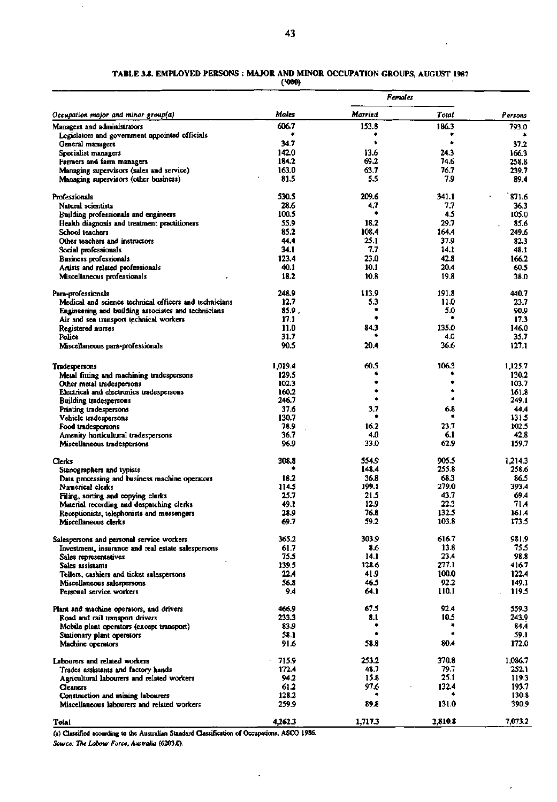# **TABLE 3.8. EMPLOYED PERSONS : MAJOR AND MINOR OCCUPATION GROUPS, AUGUST 1987**

**(•000)** 

|                                                                                   |                   |               | Females      |                |  |  |
|-----------------------------------------------------------------------------------|-------------------|---------------|--------------|----------------|--|--|
| Occupation major and minor group(a)                                               | Males             | Married       | Total        | Persons        |  |  |
| Managers and administrators                                                       | 606.7             | 153.8         | 186.3        | 793.0          |  |  |
| Legislators and government appointed officials                                    |                   |               | ٠            |                |  |  |
| General managers                                                                  | 34.7              | ۰             |              | 37.2           |  |  |
| Specialist managers                                                               | 142.0             | 13.6          | 24.3         | 166.3          |  |  |
| Farmers and farm managers                                                         | 184.2<br>163.0    | 69.2<br>63.7  | 74.6<br>76.7 | 258.8          |  |  |
| Managing supervisors (sales and service)<br>Managing supervisors (other business) | 81.5              | 5.5           | 7.9          | 239.7<br>89.4  |  |  |
|                                                                                   |                   |               |              |                |  |  |
| Professionals                                                                     | 530.5             | 209.6         | 341.1        | 871.6          |  |  |
| Natural scientists                                                                | 28.6              | 4,7           | 7,7          | 36.3           |  |  |
| Building professionals and engineers                                              | 100.5             |               | 4.5<br>29.7  | 105.0          |  |  |
| Health diagnosis and treatment practitioners<br>School teachers                   | 55.9<br>85.2      | 18.2<br>108.4 | 164.4        | 85.6<br>249.6  |  |  |
| Other teachers and instructors                                                    | 44.4              | 25.1          | 37.9         | 82.3           |  |  |
|                                                                                   | 34.1              | 7.7           | 14.1         | 48.1           |  |  |
| Social professionals<br>Business professionals                                    | 123.4             | 23.0          | 42.8         | 166.2          |  |  |
| Artists and related professionals                                                 | 40.1              | 10.1          | 20.4         | 60.5           |  |  |
| Miscellaneous professionals                                                       | 18.2              | 10.8          | 19.8         | 38.0           |  |  |
| Para-professionals                                                                | 248.9             | 113.9         | 191.8        | 440.7          |  |  |
| Medical and science technical officers and technicians                            | 12.7              | 5.3           | 11.0         | 23.7           |  |  |
| Engineering and building associates and technicians                               | 85.9.             |               | 5.0          | 90.9           |  |  |
| Air and sea transport technical workers                                           | 17.1              |               |              | 17.3           |  |  |
| Registered nurses                                                                 | 11.0              | 84.3          | 135.0        | 146.0          |  |  |
| Police                                                                            | 31.7              |               | 4.0          | 35.7           |  |  |
| Miscellaneous para-professionals                                                  | 90.5              | 20.4          | 36.6         | 127.1          |  |  |
|                                                                                   |                   |               |              |                |  |  |
| Tradespersons                                                                     | 1.019.4           | 60.5          | 106.3        | 1,125.7        |  |  |
| Metal fitting and machining tradespersons                                         | 129.5             |               | ۰            | 130.2          |  |  |
| Other metal tradespersons                                                         | 102.3<br>160.2    |               | ۰            | 103.7<br>161.8 |  |  |
| Electrical and electronics tradespersons<br><b>Building tradespersons</b>         | 246.7             | ۰             |              | 249.1          |  |  |
| Printing tradespersons                                                            | 37.6              | 3.7           | 6.8          | 44.4           |  |  |
| Vehicle tradespersons                                                             | 130.7             | ٠             | ٠            | 131.5          |  |  |
| Food tradespersons                                                                | 78.9              | 16.2          | 23.7         | 102.5          |  |  |
| Amenity horticultural tradespersons                                               | 36.7              | 4.0           | 6.1          | 42.8           |  |  |
| Miscellaneous tradespersons                                                       | 96.9              | 33.0          | 62.9         | 159.7          |  |  |
| Clerks                                                                            | 308.8             | 554.9         | 905.5        | 1,214.3        |  |  |
| Stenographers and typists                                                         |                   | 148.4         | 255.8        | 258.6          |  |  |
| Data processing and business machine operators                                    | 18.2              | 36.8          | 68.3         | 86.5           |  |  |
| Numerical clerks                                                                  | 114.5             | 199.1         | 279.0        | 393.4          |  |  |
| Filing, sorting and copying clerks                                                | 25.7              | 21.5          | 43.7         | 69.4           |  |  |
| Material recording and despatching clerks                                         | 49.1              | 12.9          | 22.3         | 71.4           |  |  |
| Receptionists, telephonists and messengers                                        | 28.9              | 76.8          | 132.5        | 161.4          |  |  |
| Miscellaneous clerks                                                              | 69. I             | 59.2          | 103.8        | 173.5          |  |  |
| Salespersons and personal service workers                                         | 365.2             | 303.9         | 616.7        | 981.9          |  |  |
| Investment, insurance and real estate salespersons                                | 61.7              | 8.6           | 13.8         | 75.5           |  |  |
| Sales representatives                                                             | 75.5              | 14.1          | 23.4         | 98.8           |  |  |
| Sales assistants                                                                  | 139.5             | 128.6         | 277.1        | 416.7          |  |  |
| Tellers, cashiers and ticket salespersons                                         | 22.4              | 41.9          | 100.0        | 122.4          |  |  |
| Miscellaneous salespersons                                                        | 56.8              | 46.5          | 92.2         | 149.1          |  |  |
| Personal service workers                                                          | 9.4               | 64.1          | 110.1        | 119.5          |  |  |
| Plant and machine operators, and drivers                                          | 466.9             | 67.5          | 92.4         | 559.3          |  |  |
| Road and rail transport drivers                                                   | 233.3             | 8.1           | 10.5         | 243.9          |  |  |
| Mobile plant operators (except transport)                                         | 83.9              |               |              | 84.4           |  |  |
| Stationary plant operators                                                        | 58.1              | ٠             | ٠            | 59.1           |  |  |
| Machine operators                                                                 | 91.6              | 58.8          | 80.4         | 172.0          |  |  |
| Labourers and related workers                                                     | 715.9<br>$\sigma$ | 253.2         | 370.8        | 1,086.7        |  |  |
| Trades assistants and factory hands                                               | 172.4             | 48.7          | 79.7<br>25.1 | 252. L         |  |  |
| Agricultural labourers and related workers                                        | 94.2              | 15.8          |              | 119.3          |  |  |
| <b>Cleaners</b>                                                                   | 61.2              | 97.6<br>٠     | 132.4        | 193.7<br>130.8 |  |  |
| Construction and mining labourers<br>Miscellaneous labourers and related workers  | 128.2<br>259.9    | 89.8          | 131.0        | 390.9          |  |  |
|                                                                                   |                   |               |              |                |  |  |
| Total                                                                             | 4,262.3           | 1,717.3       | 2,810.8      | 7,073.2        |  |  |

**(a) Classified according to the Australian Standard Classification of Occupations, ASCO 1986.** 

 $\ddot{\phantom{0}}$ 

 $\cdot$ 

*Source: The Labour Force, Australia* **(6203.0).** 

 $\mathbb{Z}$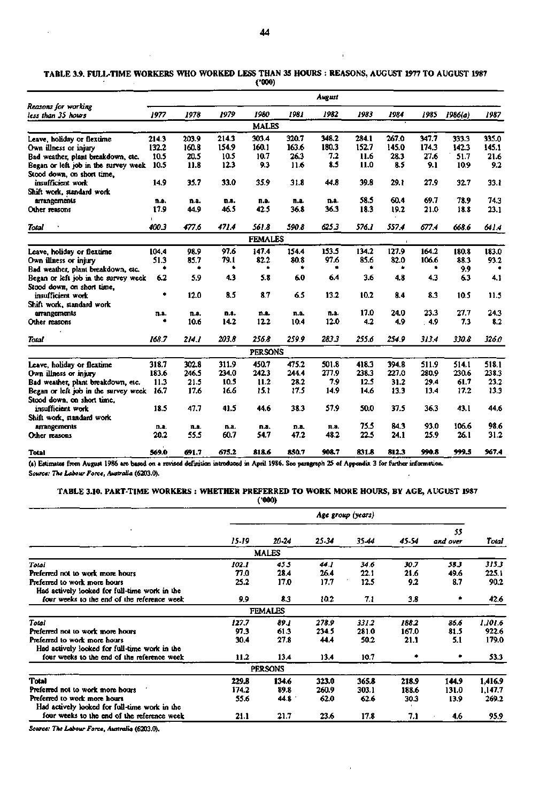$\bar{1}$ 

 $\bar{z}$ 

|                                           |       |       |       | (1000)         |       |        |       |       |       |         |       |
|-------------------------------------------|-------|-------|-------|----------------|-------|--------|-------|-------|-------|---------|-------|
|                                           |       |       |       |                |       | August |       |       |       |         |       |
| Reasons for working<br>less than 35 hours | 1977  | 1978  | 1979  | 1980           | 1981  | 1982   | 1983  | 1984  | 1985  | 1986(a) | 1987  |
|                                           |       |       |       | <b>MALES</b>   |       |        |       |       |       |         |       |
| Leave, holiday or flextime                | 214.3 | 203.9 | 214.3 | 303.4          | 320.7 | 348.2  | 284.1 | 267.0 | 347.7 | 333.3   | 335.0 |
| Own illness or injury                     | 132.2 | 160.8 | 154.9 | 160.1          | 163.6 | 180.3  | 152.7 | 145.0 | 174.3 | 142.3   | 145.1 |
| Bad weather, plant breakdown, etc.        | 10.5  | 20.5  | 10.5  | 10.7           | 26.3  | 7.2    | 11.6  | 28.3  | 27.6  | 51.7    | 21.6  |
| Began or left job in the survey week      | 10.5  | 11.8  | 12.3  | 9.3            | 11.6  | 8.5    | 11.0  | 8.5   | 9.1   | 10.9    | 9.2   |
| Stood down, on short time,                |       |       |       |                |       |        |       |       |       |         |       |
| insufficient work                         | 14.9  | 35.7  | 33.0  | 35.9           | 31.8  | 44.8   | 39.8  | 29.1  | 27.9  | 32.7    | 33.1  |
| Shift work, standard work                 |       |       |       |                |       |        |       |       |       |         |       |
| arrangements                              | n.a.  | n.a.  | n.a.  | п.э.           | n.a.  | n.a.   | 58.5  | 60.4  | 69.7  | 78.9    | 74.3  |
| Other reasons                             | 17.9  | 44.9  | 46.5  | 42.5           | 36.8  | 36.3   | 18.3  | 19.2  | 21.0  | 18.8    | 23.1  |
|                                           |       |       |       |                |       |        |       |       |       |         |       |
| Total                                     | 400.3 | 477,6 | 471.4 | 561.8          | 590.8 | 625.3  | 576.1 | 557.4 | 677.4 | 668.6   | 641.4 |
|                                           |       |       |       | <b>FEMALES</b> |       |        |       |       |       |         |       |
| Leave, holiday or flextime                | 104.4 | 98.9  | 97.6  | 147.4          | 154.4 | 153.5  | 134.2 | 127.9 | 164.2 | 180.8   | 183.0 |
| Own illness or injury                     | 51.3  | 85.7  | 79.1  | 82.2           | 80.8  | 97.6   | 85.6  | 82.0  | 106.6 | 88.3    | 93.2  |
| Bad weather, plant breakdown, etc.        |       |       |       |                | ٠     |        |       |       |       | 9.9     |       |
| Began or left job in the survey week      | 6.2   | 5.9   | 4.3   | 5.8            | 60    | 64     | 3.6   | 4.8   | 4.3   | 6.3     | 4.1   |
| Stood down, on short time,                |       |       |       |                |       |        |       |       |       |         |       |
| insufficient work                         | ۰     | 12.0  | 8.5   | 8.7            | 6.5   | 13.2   | 10.2  | 8.4   | 8.3   | 10.5    | 11.5  |
| Shift work, standard work                 |       |       |       |                |       |        |       |       |       |         |       |
| arrangements                              | n.a.  | n.a.  | n.a.  | n.a.           | n.a.  | n.a.   | 17.0  | 24.0  | 23.3  | 27.7    | 24.3  |
| Other reasons                             |       | 10.6  | 14.2  | 12.2           | 10.4  | 12.0   | 4.2   | 4.9   | . 4.9 | 7.3     | 3.2   |
| Total                                     | 168.7 | 214.1 | 203.8 | 256.8          | 259.9 | 283.3  | 255.6 | 254.9 | 313.4 | 330.8   | 326.0 |
|                                           |       |       |       | <b>PERSONS</b> |       |        |       |       |       |         |       |
| Leave, holiday or flextime                | 318.7 | 302.8 | 311.9 | 450.7          | 475.2 | 501.8  | 418.3 | 394.8 | 511.9 | 514.1   | 518.1 |
| Own illness or injury                     | 183.6 | 246.5 | 234.0 | 242.3          | 244.4 | 277.9  | 238.3 | 227.0 | 280.9 | 230.6   | 238.3 |
| Bad weather, plant breakdown, etc.        | 11.3  | 21.5  | 10.5  | 11.2           | 28.2  | 7.9    | 12.5  | 31.2  | 29.4  | 61.7    | 23.2  |
| Began or left job in the survey week      | 16.7  | 17.6  | 16.6  | 15.1           | 17.5  | 14.9   | 14.6  | 13.3  | 13.4  | 17.2    | 13.3  |
| Stood down, on short time,                |       |       |       |                |       |        |       |       |       |         |       |
| insufficient work                         | 18.5  | 47.7  | 41.5  | 44.6           | 38.3  | 57.9   | 50.0  | 37.5  | 36.3  | 43.1    | 44.6  |
| Shift work, standard work                 |       |       |       |                |       |        |       |       |       |         |       |
| arrangements                              | n.a.  | n.a.  | n.a.  | n.a.           | n.a.  | п.а.   | 75.5  | 84.3  | 93.0  | 106.6   | 98.6  |
| Other reasons                             | 20.2  | 55.5  | 60.7  | 54.7           | 47.2  | 48.2   | 22.5  | 24.1  | 25.9  | 26.1    | 31.2  |
| Total                                     | 569.0 | 691.7 | 675.2 | 818.6          | 850.7 | 908.7  | 831.8 | 812.3 | 990.8 | 999.5   | 967.4 |

**TABLE 3.9. FULL-TIME WORKERS WHO WORKED LESS THAN 35 HOURS REASONS, AUGUST 1977 TO AUGUST 1987** 

**(a) Estimates from August 1986 are based on a revised definition introduced in April 1986. See paragraph 25 of Appendix 3 for further information. Source:** *The Labour Forte, Australia* **(6203.0).**   $\cdot$ 

### **TABLE 3.10. PART-TIME WORKERS : WHETHER PREFERRED TO WORK MORE HOURS, BY AGE, AUGUST 1987 ('000)**

|                                                                                              | Age group (years)      |                       |                        |                        |                        |                        |                             |
|----------------------------------------------------------------------------------------------|------------------------|-----------------------|------------------------|------------------------|------------------------|------------------------|-----------------------------|
|                                                                                              | 15-19                  | 20-24                 | 25-34                  | 35-44                  | 45-54                  | 55<br>and over         | Total                       |
|                                                                                              |                        | <b>MALES</b>          |                        |                        |                        |                        |                             |
| Total<br>Preferred not to work more hours                                                    | 102.1<br>77.0          | 455<br>28.4           | 44.1<br>26.4           | 34.6<br>22.1           | 30.7<br>21.6           | 58.3<br>49.6           | 315.3<br>225.1              |
| Preferred to work more hours<br>Had actively looked for full-time work in the                | 25.2                   | 17.0                  | 17.7                   | 12.5                   | 9.2                    | 8.7                    | 90.2                        |
| four weeks to the end of the reference week                                                  | 9.9                    | 8.3                   | 10.2                   | 7.1                    | 3.8                    |                        | 42.6                        |
|                                                                                              |                        | <b>FEMALES</b>        |                        |                        |                        |                        |                             |
| Total<br>Preferred not to work more hours<br>Preferred to work more hours                    | 127.7<br>97.3<br>30.4  | 89.1<br>61.3<br>27.8  | 278.9<br>234.5<br>44.4 | 331.2<br>281.0<br>50.2 | 188.2<br>167.0<br>21.1 | 86.6<br>81.5<br>5.1    | 1.101.6<br>922.6<br>179.0   |
| Had actively looked for full-time work in the<br>four weeks to the end of the reference week | 11.2                   | 13.4                  | 13.4                   | 10.7                   |                        |                        | 53.3                        |
|                                                                                              |                        | PERSONS               |                        |                        |                        |                        |                             |
| Total<br>Preferred not to work more hours<br>Preferred to work more hours                    | 229.8<br>174.2<br>55.6 | 134.6<br>89.8<br>44.8 | 323.0<br>260.9<br>62.0 | 365.8<br>303.1<br>62.6 | 218.9<br>188.6<br>30.3 | 144.9<br>131.0<br>13.9 | 1,416.9<br>1,147.7<br>269.2 |
| Had actively looked for full-time work in the<br>four weeks to the end of the reference week | 21.1                   | 21.7                  | 23.6                   | 17.8                   | 7.1                    | 4.6                    | 95.9                        |

 $\bar{1}$ 

*Source: The Labour Force, Australia* **(6203.0).**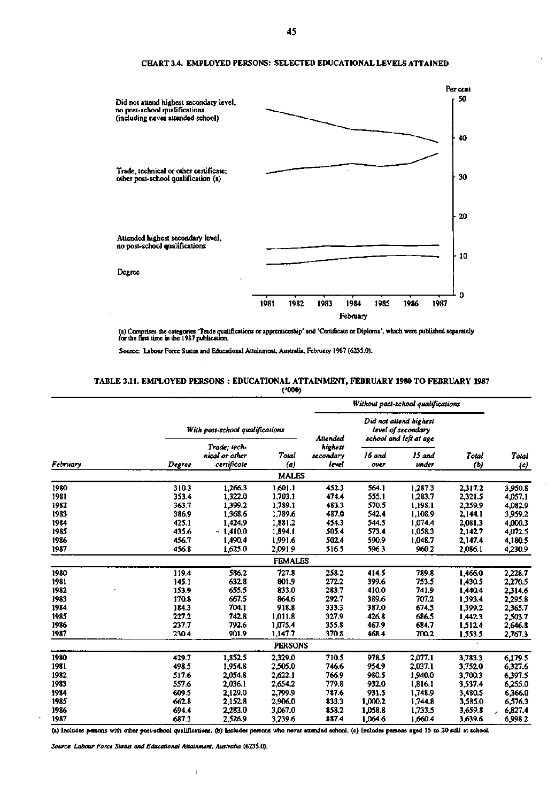

### **CHART 3.4. EMPLOYED PERSONS: SELECTED EDUCATIONAL LEVELS ATTAINED**

**(a) Comprises the categories 'Trade qualifications or apprenticeship' and 'Certificate or Diploma', which were published separately for the first time in the 1987 publication.** 

**Source: Labour Force Status and Educational Attainment, Australia, February 1987 (623S.0).** 

### **TABLE 3.11. EMPLOYED PERSONS : EDUCATIONAL ATTAINMENT, FEBRUARY 1980 TO FEBRUARY 1987 (•000)**

|          |        |                                               |                |                               | Without post-school qualifications |                                                                        |              |              |
|----------|--------|-----------------------------------------------|----------------|-------------------------------|------------------------------------|------------------------------------------------------------------------|--------------|--------------|
|          |        | With post-school qualifications               |                | Attended                      |                                    | Did not attend highest<br>level of secondary<br>school and left at age |              | Total<br>(c) |
| February | Degree | Trade: tech-<br>nical or other<br>certificate | Total<br>(a)   | highest<br>secondary<br>level | 16 and<br>over                     | 15 and<br>under                                                        | Total<br>(b) |              |
|          |        |                                               | <b>MALES</b>   |                               |                                    |                                                                        |              |              |
| 1980     | 310.3  | 1,266.3                                       | 1,601.1        | 452.3                         | 564.1                              | 1,287.3                                                                | 2,317.2      | 3,950.8      |
| 1981     | 353.4  | 1.322.0                                       | 1.703.1        | 474.4                         | 555.1                              | 1,283.7                                                                | 2,321.5      | 4,057.1      |
| 1982     | 363.7  | 1,399.2                                       | 1,789.1        | 483.3                         | 570.5                              | 1,198.1                                                                | 2,259.9      | 4,082.9      |
| 1983     | 386.9  | 1.368.6                                       | 1,789.6        | 487.0                         | 542.4                              | 1,108.9                                                                | 2,144.1      | 3,959.2      |
| 1984     | 425.1  | 1,424.9                                       | 1,881.2        | 454.3                         | 544.5                              | 1,074.4                                                                | 2,081.3      | 4,000.3      |
| 1985     | 435.6  | $-1.410.0$                                    | 1,894.1        | 505.4                         | 573.4                              | 1.058.3                                                                | 2,142.7      | 4,072.5      |
| 1986     | 456.7  | 1,490.4                                       | 1,991.6        | 502.4                         | 590.9                              | 1,048.7                                                                | 2,147.4      | 4,180.5      |
| 1987     | 456.8  | 1,625.0                                       | 2,091.9        | 516.5                         | 596.3                              | 960.2                                                                  | 2,086.1      | 4,230.9      |
|          |        |                                               | <b>FEMALES</b> |                               |                                    |                                                                        |              |              |
| 1980     | 119.4  | 586.2                                         | 727.8          | 258.2                         | 414.5                              | 789.8                                                                  | 1.466.0      | 2,228.7      |
| 1981     | 145.1  | 632.8                                         | 801.9          | 272.2                         | 399.6                              | 753.5                                                                  | 1,430.5      | 2,270.5      |
| 1982     | 153.9  | 655.5                                         | 833.0          | 283.7                         | 410.0                              | 741.9                                                                  | 1,440.4      | 2,314.6      |
| 1983     | 170.8  | 667.5                                         | 864.6          | 292.7                         | 389.6                              | 707.2                                                                  | 1,393.4      | 2,295.8      |
| 1984     | 184.3  | 704.1                                         | 918.8          | 333.3                         | 387.0                              | 674.5                                                                  | 1,399.2      | 2,365.7      |
| 1985     | 227.2  | 742.8                                         | 1.011.8        | 327.9                         | 426.8                              | 686.5                                                                  | 1.442.3      | 2.503.7      |
| 1986     | 237.7  | 792.6                                         | 1,075.4        | 355.8                         | 467.9                              | 684.7                                                                  | 1,512.4      | 2,646.8      |
| 1987     | 230.4  | 901.9                                         | 1.147.7        | 370.8                         | 468.4                              | 700.2                                                                  | 1,553.5      | 2,767.3      |
|          |        |                                               | <b>PERSONS</b> |                               |                                    |                                                                        |              |              |
| 1980     | 429.7  | 1.852.5                                       | 2,329.0        | 710.5                         | 978.5                              | 2.077.1                                                                | 3,783.3      | 6.179.5      |
| 1981     | 498.5  | 1,954.8                                       | 2.505.0        | 746.6                         | 954.9                              | 2,037.1                                                                | 3,752.0      | 6,327.6      |
| 1982     | 517.6  | 2.054.8                                       | 2,622.1        | 766.9                         | 980.5                              | 1,940.0                                                                | 3,700.3      | 6,397.5      |
| 1983     | 557.6  | 2,036.1                                       | 2,654.2        | 779.8                         | 932.0                              | 1,816.1                                                                | 3,537.4      | 6,255.0      |
| 1984     | 609.5  | 2,129.0                                       | 2,799.9        | 787.6                         | 931.5                              | 1,748.9                                                                | 3,480.5      | 6,366.0      |
| 1985     | 662.8  | 2.152.8                                       | 2,906.0        | 833.3                         | 1,000.2                            | 1,744.8                                                                | 3,585.0      | 6,576.3      |
| 1986     | 694.4  | 2,283.0                                       | 3,067.0        | 858.2                         | 1,058.8                            | 1.733.5                                                                | 3,659.8      | 6,827.4      |
| 1987     | 687.3  | 2,526.9                                       | 3,239.6        | 887.4                         | 1,064.6                            | 1,660.4                                                                | 3,639.6      | 6,998.2      |

**(a) Includes persons with other post-school qualifications, (b) Includes persons who never attended school, (c) Includes persons aged IS to 20 still at school.** 

*Source. Labour Force Status and Educational Attainment, Australia* **(623S.0).** 

 $\ddot{i}$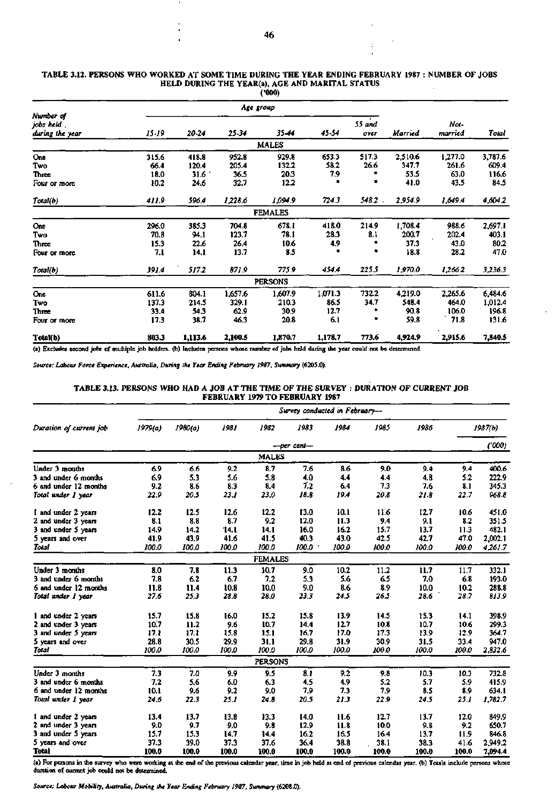| Age group<br>25-34<br><b>MALES</b><br>952.8<br>205.4<br>36.5<br>32.7<br>1,228.6<br><b>FEMALES</b><br>704.8<br>123.7<br>26.4 | 35.44<br>929.8<br>132.2<br>20.3<br>12.2<br>1,094.9<br>678.1<br>78.1<br>10.6 | 45-54<br>653.3<br>58.2<br>7.9<br>724.3<br>418.0<br>28.3 | 55 and<br>over<br>517.3<br>26.6<br>548.2<br>214.9<br>8.1 | Married<br>2,510.6<br>347.7<br>53.5<br>41.0<br>2,954.9<br>1,708.4 | Not-<br>married<br>1,277.0<br>261.6<br>63.0<br>43.5<br>1.649.4<br>988.6 | Total<br>3,787.6<br>609.4<br>116.6<br>84.5<br>4,604.2<br>2,697.1                                                                          |
|-----------------------------------------------------------------------------------------------------------------------------|-----------------------------------------------------------------------------|---------------------------------------------------------|----------------------------------------------------------|-------------------------------------------------------------------|-------------------------------------------------------------------------|-------------------------------------------------------------------------------------------------------------------------------------------|
|                                                                                                                             |                                                                             |                                                         |                                                          |                                                                   |                                                                         |                                                                                                                                           |
|                                                                                                                             |                                                                             |                                                         |                                                          |                                                                   |                                                                         |                                                                                                                                           |
|                                                                                                                             |                                                                             |                                                         |                                                          |                                                                   |                                                                         |                                                                                                                                           |
|                                                                                                                             |                                                                             |                                                         |                                                          |                                                                   |                                                                         |                                                                                                                                           |
|                                                                                                                             |                                                                             |                                                         |                                                          |                                                                   |                                                                         |                                                                                                                                           |
|                                                                                                                             |                                                                             |                                                         |                                                          |                                                                   |                                                                         |                                                                                                                                           |
|                                                                                                                             |                                                                             |                                                         |                                                          |                                                                   |                                                                         |                                                                                                                                           |
|                                                                                                                             |                                                                             |                                                         |                                                          |                                                                   |                                                                         |                                                                                                                                           |
|                                                                                                                             |                                                                             |                                                         |                                                          |                                                                   |                                                                         |                                                                                                                                           |
|                                                                                                                             |                                                                             |                                                         |                                                          |                                                                   |                                                                         |                                                                                                                                           |
|                                                                                                                             |                                                                             |                                                         |                                                          |                                                                   |                                                                         |                                                                                                                                           |
|                                                                                                                             |                                                                             |                                                         |                                                          | 200.7                                                             | 202.4                                                                   | 403.1                                                                                                                                     |
|                                                                                                                             |                                                                             | 4.9                                                     |                                                          | 37.3                                                              | 43.0                                                                    | 80.2                                                                                                                                      |
| 13.7                                                                                                                        | 8.5                                                                         | ۰                                                       | ٠                                                        | 18.8                                                              | 28.2                                                                    | 47.0                                                                                                                                      |
| 871.9                                                                                                                       | 775.9                                                                       | 454.4                                                   | 225.5                                                    | 1,970.0                                                           | 1,266.2                                                                 | 3,236.3                                                                                                                                   |
| <b>PERSONS</b>                                                                                                              |                                                                             |                                                         |                                                          |                                                                   |                                                                         |                                                                                                                                           |
|                                                                                                                             |                                                                             | 1,071.3                                                 |                                                          |                                                                   | 2,265.6                                                                 | 6,484.6                                                                                                                                   |
|                                                                                                                             | 210.3                                                                       | 86.5                                                    | 34.7                                                     | 548.4                                                             | 464.0                                                                   | 1,012.4                                                                                                                                   |
|                                                                                                                             | 30.9                                                                        | 12.7                                                    |                                                          | 90.8                                                              | 106.0                                                                   | 196.8                                                                                                                                     |
|                                                                                                                             | 20.8                                                                        | 6.1                                                     | ۰                                                        | 59.8                                                              | 71.8                                                                    | 131.6                                                                                                                                     |
|                                                                                                                             |                                                                             | 1,178.7                                                 | 773.6                                                    | 4,924.9                                                           | 2,915.6                                                                 | 7,840.5                                                                                                                                   |
|                                                                                                                             | 1,657.6<br>329.1<br>62.9<br>46.3<br>2,100.5                                 | 1,607.9<br>1,870.7                                      |                                                          | 732.2                                                             | 4,219.0                                                                 | (a) Excludes second jobs of multiple job holders. (b) Includes persons whose number of jobs held during the year could not be determined. |

#### **TABLE 3.12. PERSONS WHO WORKED AT SOME TIME DURING THE YEAR ENDING FEBRUARY 1987 NUMBER OF JOBS HELD DURING THE YEAR(a), AGE AND MARITAL STATUS**   $\mathbf{r}$

*Source: Labour Force Experience, Australia, During the Year Ending February 1987, Summary* **(6205.0).** 

J.

### **TABLE 3.13. PERSONS WHO HAD A JOB AT THE TIME OF THE SURVEY : DURATION OF CURRENT JOB FEBRUARY 1979 TO FEBRUARY 1987**

|                         | Survey conducted in February- |         |       |                |            |       |       |       |       |         |
|-------------------------|-------------------------------|---------|-------|----------------|------------|-------|-------|-------|-------|---------|
| Duration of current job | 1979(a)                       | 1980(a) | 1981  | 1982           | 1983       | 1984  | 1985  | 1986  |       | 1987(b) |
|                         |                               |         |       |                | —per cent— |       |       |       |       | (000)   |
|                         |                               |         |       | <b>MALES</b>   |            |       |       |       |       |         |
| Under 3 months          | 69                            | 6.6     | 9.2   | 8.7            | 7.6        | 8.6   | 9.0   | 9.4   | 9.4   | 400.6   |
| 3 and under 6 months    | 6.9                           | 5.3     | 5.6   | 5.8            | 4.0        | 44    | 4.4   | 4.8   | 5.2   | 222.9   |
| 6 and under 12 months   | 9.2                           | 8.6     | 8.3   | 8.4            | 7.2        | 6.4   | 7.3   | 7.6   | 8.1   | 345.3   |
| Total under 1 year      | 22.9                          | 20.5    | 23.1  | 23.0           | 18.8       | 19.4  | 20.8  | 21.8  | 22.7  | 968.8   |
| I and under 2 years     | 12.2                          | 12.5    | 12.6  | 12.2           | 13.0       | 10.1  | 11.6  | 12.7  | 10.6  | 451.0   |
| 2 and under 3 years     | 8.1                           | 8.8     | 8.7   | 9.2            | 12.0       | 11.3  | 9.4   | 9.1   | 8.2   | 351.5   |
| 3 and under 5 years     | 14.9                          | 14.2    | 14.1  | 14.1           | 16.0       | 16.2  | 15.7  | 13.7  | 11.3  | 482.1   |
| 5 years and over        | 41.9                          | 43.9    | 41.6  | 41.5           | 40.3       | 43.0  | 42.5  | 42.7  | 47.0  | 2,002.1 |
| Total                   | 100.0                         | 100.0   | 100.0 | 100.0          | 100.0      | 100.0 | 100.0 | 100.0 | 100.0 | 4.261.7 |
|                         |                               |         |       | <b>FEMALES</b> |            |       |       |       |       |         |
| Under 3 months          | 8.0                           | 7.8     | 11.3  | 10.7           | 9.0        | 10.2  | 11.2  | 11.7  | 11.7  | 332.1   |
| 3 and under 6 months    | 7.8                           | 62      | 6.7   | 7.2            | 5.3        | 5.6   | 65    | 7.0   | 6.8   | 193.0   |
| 6 and under 12 months   | 11.8                          | 11.4    | 10.8  | 10.0           | 9.0        | 8.6   | 8.9   | 10.0  | 10.2  | 288.8   |
| Total under 1 year      | 27.6                          | 25.3    | 28.8  | 28.0           | 23.3       | 24.5  | 26.5  | 28.6  | 28.7  | 813.9   |
| 1 and under 2 years     | 15.7                          | 15.8    | 16.0  | 15.2           | 15.8       | 13.9  | 14.5  | 15.3  | 14.1  | 398.9   |
| 2 and under 3 years     | 10.7                          | 11.2    | 9.6   | 10.7           | 14.4       | 12.7  | 10.8  | 10.7  | 10.6  | 299.3   |
| 3 and under 5 years     | 17.1                          | 17.1    | 15.8  | 15.1           | 16.7       | 17.0  | 17.3  | 13.9  | 12.9  | 364.7   |
| 5 years and over        | 28.8                          | 30.5    | 29.9  | 31.1           | 29.8       | 31.9  | 30.9  | 31.5  | 33.4  | 947.0   |
| Total                   | 100.0                         | 100.0   | 100.0 | 100.0          | 100.0      | 100.0 | 100.0 | 100.0 | 100.0 | 2.832.6 |
|                         |                               |         |       | <b>PERSONS</b> |            |       |       |       |       |         |
| Under 3 months          | 7.3                           | 7.0     | 9.9   | 9.5            | 8.1        | 9.2   | 9.8   | 10.3  | 10.3  | 732.8   |
| 3 and under 6 months    | 7.2                           | 5.6     | 6.0   | 6.3            | 4.5        | 4.9   | 5.2   | 5.7   | 5.9   | 415.9   |
| 6 and under 12 months   | 10.1                          | 9.6     | 9.2   | 9.0            | 7.9        | 7.3   | 7.9   | 8.5   | 8.9   | 634.1   |
| Total under 1 year      | 24.6                          | 22.3    | 25.1  | 24.8           | 20.5       | 21.3  | 22.9  | 24.5  | 25.1  | 1.782.7 |
| I and under 2 years     | 13.4                          | 13.7    | 13.8  | 13.3           | 14.0       | 11.6  | 12.7  | 13.7  | 12.0  | 849.9   |
| 2 and under 3 years     | 9.0                           | 9.7     | 9.0   | 9.8            | 12.9       | 11.8  | 10.0  | 9.8   | 9.2   | 650.7   |
| 3 and under 5 years     | 15.7                          | 15.3    | 14.7  | 14.4           | 16.2       | 16.5  | 16.4  | 13.7  | 11.9  | 846.8   |
| 5 years and over        | 37.3                          | 39.0    | 37.3  | 37.6           | 36.4       | 38.8  | 38.1  | 38.3  | 41.6  | 2.949.2 |
| Total                   | 100.0                         | 100.0   | 100.0 | 100.0          | 100.0      | 100.0 | 100.0 | 100.0 | 100.0 | 7,094.4 |

(a) For persons in the survey who were working at the end of the previous calendar year, time in job held at end of previous calendar year. (b) Totals include persons whose<br>duration of current job could not be determined.

*Source: Labour Mobility, Australia, During the Year Ending February 1987, Summary* **(6208.0).** 

 $\mathcal{V}$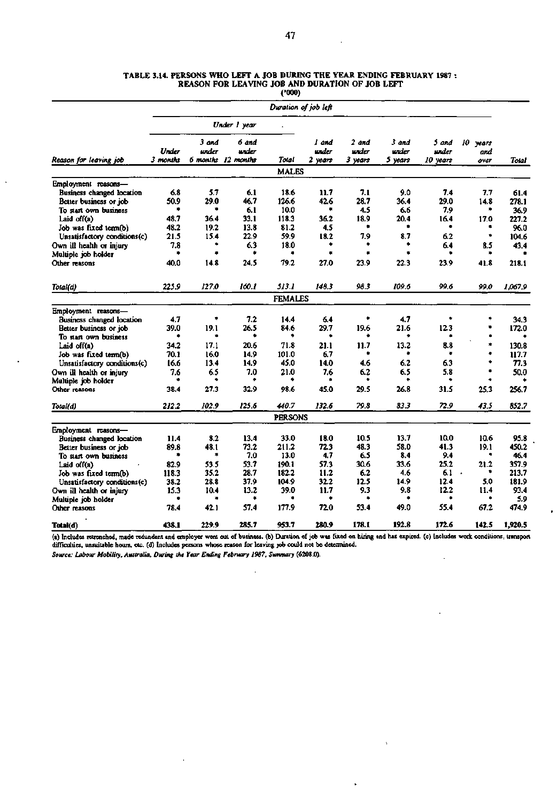|                                                  |                   |                            |                             | (2000)         |                           |                           |                           |                            |                         |         |
|--------------------------------------------------|-------------------|----------------------------|-----------------------------|----------------|---------------------------|---------------------------|---------------------------|----------------------------|-------------------------|---------|
|                                                  |                   |                            |                             |                | Duration of job left      |                           |                           |                            |                         |         |
|                                                  | Under 1 year      |                            |                             |                |                           |                           |                           |                            |                         |         |
| Reason for leaving job                           | Under<br>3 months | 3 and<br>under<br>6 months | 6 and<br>under<br>12 months | Total          | l and<br>urder<br>2 years | 2 and<br>urder<br>3 years | 3 and<br>under<br>5 years | 5 and<br>under<br>10 vears | 10 years<br>and<br>over | Total   |
|                                                  |                   |                            |                             | <b>MALES</b>   |                           |                           |                           |                            |                         |         |
| Employment reasons-                              |                   |                            |                             |                |                           |                           |                           |                            |                         |         |
| <b>Business changed location</b>                 | 6.8               | 5.7                        | 6.1                         | 18.6           | 11.7                      | 7.1                       | 9.0                       | 7.4                        | 7.7                     | 61.4    |
| Better business or job                           | 50.9              | 29.0                       | 46.7                        | 126.6          | 42.6                      | 28.7                      | 36.4                      | 29.0                       | 14.8                    | 278.1   |
| To start own business                            | ۰                 | ۰                          | 6.1                         | 10.0           | ٠                         | 4.5                       | 66                        | 7.9                        | ۰,                      | 36.9    |
| Laid off(a)                                      | 48.7              | 36.4                       | 33.1                        | 118.3          | 36.2                      | 18.9                      | 20.4                      | 16.4                       | 17.0                    | 227.2   |
| Job was fixed term(b)                            | 48.2              | 19.2                       | 13.8                        | 81.2           | 4.5                       | ٠                         | ۰.                        | ٠                          |                         | 96.0    |
| Unsatisfactory conditions(c)                     | 21.5              | 15.4                       | 22.9                        | 59.9           | 18.2                      | 79                        | 8.7                       | 6.2                        | ۰                       | 104.6   |
| Own ill health or injury                         | 7.8               | ٠                          | 6.3                         | 18.0           | ۰                         | ۰                         | ۰                         | 6.4                        | 8.5                     | 43.4    |
| Multiple job holder                              | ٠                 | ۰                          |                             | ٠              | ٠                         | ۰                         | ۰                         | ٠                          | ٠                       |         |
| Other reasons                                    | 40.0              | 14.8                       | 24.5                        | 79.2           | 27.0                      | 23.9                      | 22.3                      | 23.9                       | 41.8                    | 218.1   |
| Total(d)                                         | 225.9             | <i>127.0</i>               | 160.1                       | 513.1          | 148.3                     | 98.3                      | 109.6                     | 99.6                       | 99.0                    | 1.067.9 |
|                                                  |                   |                            |                             | <b>FEMALES</b> |                           |                           |                           |                            |                         |         |
|                                                  |                   |                            |                             |                |                           |                           |                           |                            |                         |         |
| Employment reasons-<br>Business changed location | 4.7               | ۰                          | 7.2                         | 14.4           | 6.4                       | ۰                         | 4.7                       | ۰                          | *                       | 34.3    |
| Better business or job                           | 39.0              | 19.1                       | 26.5                        | 84.6           | 29.7                      | 19.6                      | 21.6                      | 12.3                       | ۰                       | 172.0   |
| To start own business                            | ٠                 | ۰                          | ٠                           |                | ٠                         | ٠                         |                           |                            | ۰                       | ٠       |
|                                                  | 34.2              | 17.1                       | 20.6                        | 71.8           | 21.1                      | 11.7                      |                           | 8.8                        | *                       | 130.8   |
| Laid off(a)                                      | 70.1              | 16.0                       | 14.9                        | 101.0          | 6.7                       | ۰                         | 13.2<br>*                 | ۰                          | ė                       |         |
| Job was fixed term(b)                            |                   |                            |                             | 45.0           |                           |                           | 6.2                       |                            | ۰                       | 117.7   |
| Unsatisfactory conditions(c)                     | 16.6              | 13.4                       | 14.9                        |                | 14.0                      | 4.6                       |                           | 6.3                        | ۰                       | 77.3    |
| Own ill health or injury                         | 7.6               | 6.5                        | 7.0                         | 21.0<br>٠      | 7.6<br>٠                  | 6.2<br>٠                  | 6.5                       | 5.8<br>۰                   |                         | 50.0    |
| Multiple job holder                              |                   |                            |                             |                |                           |                           |                           |                            |                         |         |
| Other reasons                                    | 38.4              | 27.3                       | 32.9                        | 98.6           | 45.0                      | 29.5                      | 26.8                      | 31.5                       | 25.3                    | 256.7   |
| Total(d)                                         | 212.2             | 102.9                      | 125.6                       | 440.7          | 132.6                     | 79.8                      | 83.3                      | 72.9                       | 43.5                    | 852.7   |
|                                                  |                   |                            |                             | <b>PERSONS</b> |                           |                           |                           |                            |                         |         |
| Employment reasons-                              |                   |                            |                             |                |                           |                           |                           |                            |                         |         |
| Business changed location                        | 11.4              | 8.2                        | 13.4                        | 33.0           | 18.0                      | 10.5                      | 13.7                      | 10.0                       | 10.6                    | 95.8    |
| Better business or job                           | 89.8              | 48.1                       | 73.2                        | 211.2          | 72.3                      | 48.3                      | 58.0                      | 41.3                       | 19.1                    | 450.2   |
| To start own business                            | ۰                 | ٠                          | 7.0                         | 13.0           | 4.7                       | 6.5                       | 8.4                       | 9.4                        | ٠                       | 46.4    |
| Laid off(a)                                      | 82.9              | 53.5                       | 53.7                        | 190.1          | 57.3                      | 30.6                      | 33.6                      | 25.2                       | 21.2                    | 357.9   |
| Job was fixed term(b)                            | 118.3             | 35.2                       | 28.7                        | 182.2          | 11.2                      | 6.2                       | 4.6                       | 6.1                        | ۰<br>$\bullet$          | 213.7   |
| Unsatisfactory conditions(c)                     | 38.2              | 28.8                       | 37.9                        | 104.9          | 32.2                      | 12.5                      | 14.9                      | 12.4                       | 5.0                     | 181.9   |
| Own ill health or injury                         | 15.3              | 10.4                       | 13.2                        | 39.0           | 11.7                      | 9.3                       | 9.8                       | 12.2                       | 11.4                    | 93.4    |
| Multiple job holder                              |                   | ×                          | ٠                           |                |                           | ٠                         | ٠                         |                            | ٠                       | 5.9     |
| Other reasons                                    | 78.4              | 42.1                       | 57.4                        | 177.9          | 72.0                      | 53.4                      | 49.0                      | 55.4                       | 67.2                    | 474.9   |
| Total(d)                                         | 438.1             | 229.9                      | 285.7                       | 953.7          | 280.9                     | 178.1                     | 192.8                     | 172.6                      | 142.5                   | 1,920.5 |

### **TABLE 3.14. PERSONS WHO LEFT A JOB DURING THE YEAR ENDING FEBRUARY 1987 : REASON FOR LEAVING JOB AND DURATION OF JOB LEFT**

(a) Includes retrenched, made redundant and employer went out of business, (b) Duration of job was fixed on hiring and has expired, (c) Includes work conditions, transpon difficulties, unsuitable hours, etc. (d) Includes persons whose reason for leaving job could not be determined.

 $\overline{a}$ 

¥

l,

 $\hat{\mathbf{v}}$ 

*Source: Labour Mobility, Australia, During the Year Ending February 1987, Summary* **(6208.0).** 

 $\overline{\phantom{a}}$ 

 $\overline{\phantom{a}}$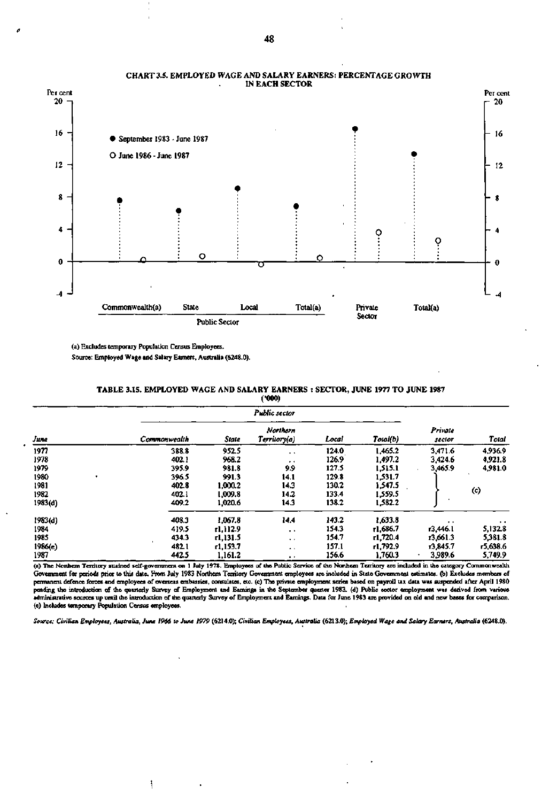

### **CHART 3.5. EMPLOYED WAGE AND SALARY EARNERS: PERCENTAGE GROWTH IN EACH SECTOR**

**(a) Excludes temporary Population Census Employees. Source: Employed Wage and Salary Earners, Australia (6248.0).** 

> **TABLE 3.1S. EMPLOYED WAGE AND SALARY EARNERS : SECTOR, JUNE 1977 TO JUNE 1987 (•000)**

|         |              | Public sector |                         |       |          |                   |           |  |  |  |
|---------|--------------|---------------|-------------------------|-------|----------|-------------------|-----------|--|--|--|
| June    | Commonwealth | State         | Northern<br>Terriory(a) | Local | Total(b) | Private<br>sector | Total     |  |  |  |
| 1977    | 388.8        | 952.5         | $\ddot{\phantom{0}}$    | 124.0 | 1.465.2  | 3,471.6           | 4,936.9   |  |  |  |
| 1978    | 402.1        | 968.2         | $\bullet$ $\bullet$     | 126.9 | 1,497.2  | 3.424.6           | 4.921.8   |  |  |  |
| 1979    | 395.9        | 981.8         | 9.9                     | 127.5 | 1.515.1  | 3,465.9           | 4,981.0   |  |  |  |
| 1980    | 396.5        | 991.3         | 14.1                    | 129.8 | 1.531.7  |                   |           |  |  |  |
| 1981    | 402.8        | 1,000.2       | 14.3                    | 130.2 | 1,547.5  |                   |           |  |  |  |
| 1982    | 402.1        | 1.009.8       | 14.2                    | 133.4 | 1,559.5  |                   | (c)       |  |  |  |
| 1983(d) | 409.2        | 1,020.6       | 14.3                    | 138.2 | 1.582.2  |                   |           |  |  |  |
| 1983(d) | 408.3        | 1,067.8       | 14.4                    | 143.2 | 1,633.8  | $\bullet$         | $\bullet$ |  |  |  |
| 1984    | 419.5        | r1.112.9      | $\cdot$ $\cdot$         | 154.3 | т1,686.7 | r3,446.1          | 5.132.8   |  |  |  |
| 1985    | 434.3        | r1.131.5      | $\ddot{\phantom{0}}$    | 154.7 | r1,720.4 | r3.661.3          | 5,381.8   |  |  |  |
| 1986(e) | 482.1        | r1.153.7      | $\bullet$ $\bullet$     | 157.1 | r1.792.9 | 13,845.7          | r5,638.6  |  |  |  |
| 1987    | 442.5        | 1,161.2       | $\ddot{\phantom{1}}$    | 156.6 | 1,760.3  | 3,989.6           | 5,749.9   |  |  |  |

**(a) The Northern Territory attained self-government on 1 July 1978. Employees of the Public Service of the Northern Territory are included in the category Commonwealth Government far periods prior to this date. From July 1983 Northem Territory Government employees are included in State Government estimates, (b) Excludes members of permanent defence forces and employees of overseas embassies, consulates, etc. (c) The private employment series based on payroll tax data was suspended after April 1980 pending the introduction of the quarterly Survey of Employment and Earnings in the September quarter 1983. (d) Public sector employment was derived from various administrative sources up until the introduction of the quarterly Survey of Employment and Earnings. Data for June 1983 are provided on old and new bases for comparison, (e) Includes temporary Population Census employees.** 

*Source: Civilian Employees, Australia, June 1966 to June 1979* **(6214.0);** *Civilian Employees, Australia* **(6213.0);** *Employed Wage and Salary Earners, Australia* **(6248.0).** 

**48** 

ţ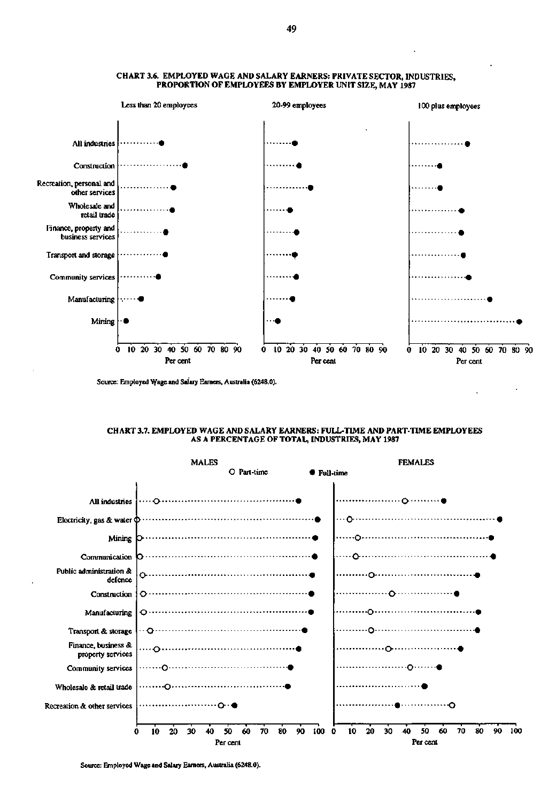

### **CHART 3.6. EMPLOYED WAGE AND SALARY EARNERS: PRIVATE** SECTOR, INDUSTRIES, **PROPORTION OF EMPLOYEES BY EMPLOYER** UNIT SIZE, MAY 1987

Source: Employed Wage and Salary Earners, Australia (6248.0).

### **CHART 3.7. EMPLOYED WAGE AND SALARY EARNERS: FULL-TIME AND PART-TIME EMPLOYEES AS A PERCENTAGE OF TOTAL, INDUSTRIES, MAY 1987**



Source: Employed Wage and Salary Earners, Australia (6248.0).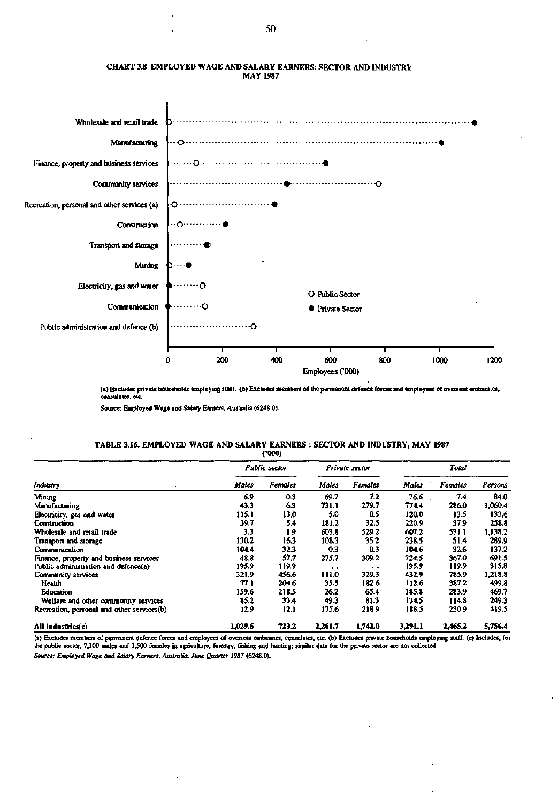

### **CHART 3.8 EMPLOYED WAGE AND SALARY EARNERS: SECTOR AND INDUSTRY MAY 1987**

**(a) Excludes private households employing staff, (b) Excludes members of the permanent defence forces and employees of overseas embassies, consulates, etc** 

**Source: Employed Wage and Salary Earners, Australia (6248.0).** 

## **TABLE 3.16. EMPLOYED WAGE AND SALARY EARNERS : SECTOR AND INDUSTRY, MAY 1987**

|                                            |         | <b>Public sector</b> |               | Private sector |         | Total          |         |  |
|--------------------------------------------|---------|----------------------|---------------|----------------|---------|----------------|---------|--|
| Industry                                   | Males   | <b>Females</b>       | Males         | Females        | Males   | <b>Females</b> | Persons |  |
| Mining                                     | 6.9     | 0.3                  | 69.7          | 7.2            | 76.6    | 7.4            | 84.0    |  |
| Manufacturing                              | 43.3    | 6.3                  | 731.1         | 279.7          | 774.4   | 286.0          | 1,060.4 |  |
| Electricity, gas and water                 | 115.1   | 13.0                 | 5.0           | 0.5            | 120.0   | 13.5           | 133.6   |  |
| Construction                               | 39.7    | 5.4                  | 181.2         | 32.5           | 220.9   | 37.9           | 258.8   |  |
| Wholesale and retail trade                 | 3.3     | 1.9                  | 603.8         | 529.2          | 607.2   | 531.1          | 1.138.2 |  |
| Transport and storage                      | 130.2   | 16.3                 | 108.3         | 35.2           | 238.5   | 51.4           | 289.9   |  |
| Communication                              | 104.4   | 32.3                 | 0.3           | 0.3            | 104.6   | 32.6           | 137.2   |  |
| Finance, property and business services    | 48.8    | 57.7                 | 275.7         | 309.2          | 324.5   | 367.0          | 691.5   |  |
| Public administration and defence(a)       | 195.9   | 119.9                | $\sim$ $\sim$ | . .            | 195.9   | 119.9          | 315.8   |  |
| Community services                         | 321.9   | 456.6                | 111.0         | 329.3          | 432.9   | 785.9          | 1,218.8 |  |
| Health                                     | 77.1    | 204.6                | 35.5          | 182.6          | 112.6   | 387.2          | 499.8   |  |
| <b>Education</b>                           | 159.6   | 218.5                | 26.2          | 65.4           | 185.8   | 283.9          | 469.7   |  |
| Welfare and other community services       | 85.2    | 33.4                 | 49.3          | 81.3           | 134.5   | 114.8          | 249.3   |  |
| Recreation, personal and other services(b) | 12.9    | 12.1                 | 175.6         | 218.9          | 188.5   | 230.9          | 419.5   |  |
| All Industries(c)                          | 1.029.5 | 723.2                | 2.261.7       | 1.742.0        | 3.291.1 | 2,465.2        | 5,756.4 |  |

**('000)** 

**(a) Excludes members of permanent defence forces and employees of overseas embassies, consulates, etc. (b) Excludes private households employing staff, (c) Includes, for the public sector, 7,100 males and 1,500 females in agriculture, forestry, fishing and hunting; similar data for the private sector are not collected.** 

*Source: Employed Wage and Salary Earners, Australia, June Quarter 1987* **(6248.0).**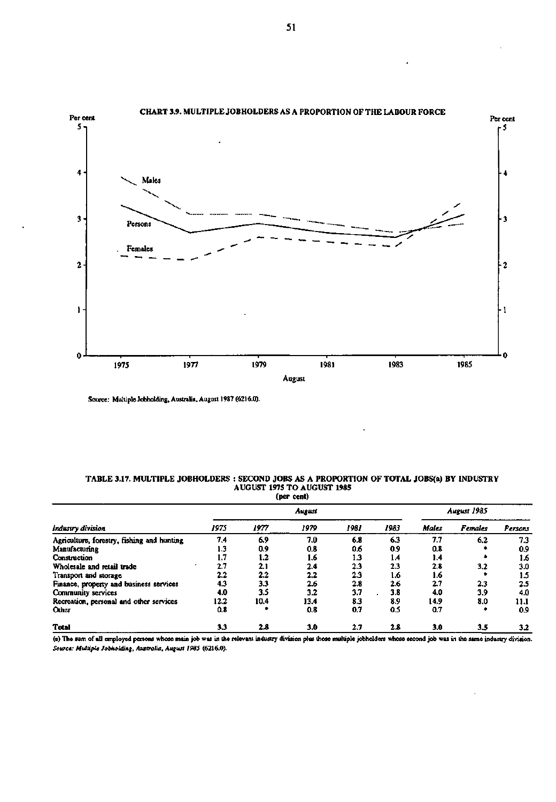

**Source: Multiple Jobholding, Australia, August 1987 (6216.0).** 

### **TABLE 3.17. MULTIPLE JOBHOLDERS : SECOND JOBS AS A PROPORTION OF TOTAL JOBS(a) BY INDUSTRY AUGUST 1975 TO AUGUST 1985**

|                                            | (per cent) |      |      |      |      |             |         |         |  |
|--------------------------------------------|------------|------|------|------|------|-------------|---------|---------|--|
|                                            | August     |      |      |      |      | August 1985 |         |         |  |
| Industry division                          | 1975       | 1977 | 1979 | 1981 | 1983 | Males       | Females | Persons |  |
| Agriculture, forestry, fishing and hunting | 7.4        | 6.9  | 7.0  | 6.8  | 6.3  | 7.7         | 6.2     | 7.3     |  |
| Manufacturing                              | 1.3        | 0.9  | 0.8  | 0.6  | 0.9  | 0.8         |         | 0.9     |  |
| Construction                               | 1.7        | 1.2  | 1.6  | 1.3  | 1.4  | 1.4         |         | 1.6     |  |
| Wholesale and retail trade                 | 2.7        | 2.1  | 2.4  | 2.3  | 2.3  | 2.8         | 3.2     | 3.0     |  |
| Transport and storage                      | 2.2        | 2.2  | 2.2  | 2.3  | 1.6  | 1.6         |         | 1.5     |  |
| Finance, property and business services    | 4.3        | 33   | 2.6  | 2.8  | 2.6  | 27          | 2.3     | 2.5     |  |
| Community services                         | 4.0        | 3.5  | 3.2  | 3.7  | 3.8  | 4.0         | 3.9     | 4.0     |  |
| Recreation, personal and other services    | 12.2       | 10.4 | 13.4 | 8.3  | 8.9  | 14.9        | 8.0     | 11.1    |  |
| <b>Other</b>                               | 0.8        |      | 0.8  | 0.7  | 0.5  | 0.7         | ٠       | 0.9     |  |
| <b>Total</b>                               | 33         | 2.8  | 3.0  | 2.7  | 2.8  | 3.0         | 3.5     | 3.2     |  |

**(a) The sum of all employed persons whose main job was in the relevant industry division plus those multiple jobholders whose second job was in the same industry division.**  *Source: Multiple Jobholding, Australia, August 1985* **(6216.0).**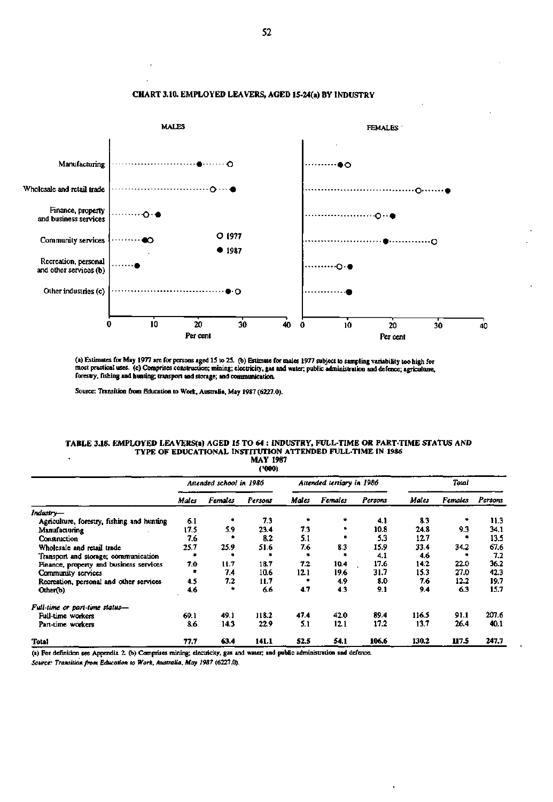

# **CHART 3.10. EMPLOYED LEAVERS, AGED 15-24(a) BY INDUSTRY**

(a) Estimates for May 1977 are for persons aged 15 to 25. (b) Estimate for males 1977 subject to sampling variability too high for<br>most practical uses. (c) Comprises construction; mining; electricity, gas and water; public

**Source: Transition from Education to Work, Australia, May 1987 (6227.0).** 

### **TABLE 3.18. EMPLOYED LEAVERS(a) AGED 15 TO 64 : INDUSTRY, FULL-TIME OR PART-TIME STATUS AND TYPE OF EDUCATIONAL INSTITUTION ATTENDED FULL-TIME IN 1986 MAY 1987**

| (1000)                                     |                         |                |         |                           |                |         |       |         |         |
|--------------------------------------------|-------------------------|----------------|---------|---------------------------|----------------|---------|-------|---------|---------|
|                                            | Attended school in 1986 |                |         | Attended tertiary in 1986 |                |         | Total |         |         |
|                                            | Males                   | <b>Females</b> | Persons | Males                     | <b>Females</b> | Persons | Males | Females | Persons |
| Industry—                                  |                         |                |         |                           |                |         |       |         |         |
| Agriculture, forestry, fishing and hunting | 6.1                     |                | 7.3     |                           | ۰              | 4.1     | 8.3   |         | 11.3    |
| Manufacturing                              | 17.5                    | 5.9            | 23.4    | 73                        | ٠              | 10.8    | 24.8  | 9.3     | 34.1    |
| Construction                               | 7.6                     |                | 8.2     | 5.1                       |                | 5.3     | 12.7  |         | 13.5    |
| Wholesale and retail trade                 | 25.7                    | 25.9           | 51.6    | 7.6                       | 8.3            | 15.9    | 33.4  | 34.2    | 67.6    |
| Transport and storage; communication       |                         |                |         |                           |                | 4.1     | 4.6   |         | 7.2     |
| Finance, property and business services    | 7.0                     | 11.7           | 18.7    | 7.2                       | 10.4           | 17.6    | 14.2  | 22.0    | 36.2    |
| Community services                         |                         | 7.4            | 10.6    | 12.1                      | 19.6           | 31.7    | 15.3  | 27.0    | 42.3    |
| Recreation, personal and other services    | 4.5                     | 7.2            | 11.7    |                           | 4.9            | 8.0     | 7.6   | 12.2    | 19.7    |
| Other(b)                                   | 4.6                     |                | 66      | 4.7                       | 4.3            | 9.1     | 9.4   | 6.3     | 15.7    |
| Full-time or part-time status-             |                         |                |         |                           |                |         |       |         |         |
| Full-time workers                          | 69.1                    | 49.1           | 118.2   | 47.4                      | 42.0           | 89.4    | 116.5 | 91.1    | 207.6   |
| Part-time workers                          | 8.6                     | 14.3           | 22.9    | 5.1                       | 12.1           | 17.2    | 13.7  | 26.4    | 40.1    |
| <b>Total</b>                               | 77.7                    | 63.4           | 141.1   | 52.5                      | 54.1           | 106.6   | 130.2 | 117.5   | 247.7   |

**(a) For definition see Appendix 2. (b) Comprises mining; electricity, gas and water, and public administration and defence.** 

*Source: Transition from Education to Work, Australia, May 1987* **(6227.0).**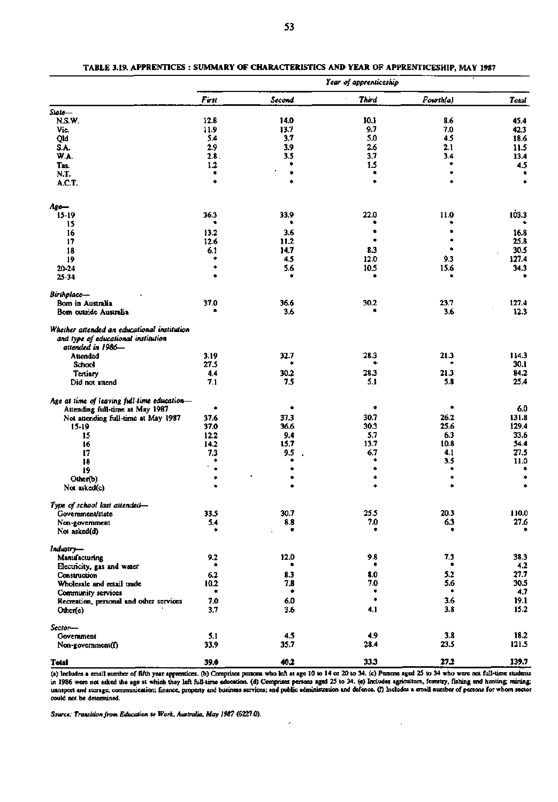|                                                                                |            |             | Year of apprenticeship |            |              |
|--------------------------------------------------------------------------------|------------|-------------|------------------------|------------|--------------|
|                                                                                | First      | Second      | Third                  | Fowth(a)   | Total        |
| State-                                                                         |            |             |                        |            |              |
| N.S.W.                                                                         | 12.8       | 14.0        | 10.1                   | 8.6        | 45.4         |
| Vic.                                                                           | 11.9       | 13.7        | 9.7                    | 7,0        | 42.3         |
| Qld                                                                            | 5.4        | 3.7         | 5.0                    | 4.5        | 18.6         |
| S.A.                                                                           | 2.9        | 3.9         | 2.6                    | 2.1        | 11.5         |
| W.A.                                                                           | 2.8.       | 3.5         | 3.7                    | 3.4        | 13.4         |
| Tas.                                                                           | 1.2        |             | 1.5<br>۰               |            | 4.5<br>٠     |
| N.T.                                                                           | ۰          | ۰           | ۰                      | ٠          | ٠            |
| A.C.T.                                                                         |            |             |                        |            |              |
| Age—                                                                           |            |             |                        |            |              |
| $15-19$                                                                        | 36.3       | 33.9        | 22.0                   | 11.0       | 103.3        |
| 15                                                                             |            |             |                        |            |              |
| 16                                                                             | 13.2       | 3.6         | ۰                      |            | 16.8         |
| 17                                                                             | 12.6       | 11.2        |                        |            | 25.8         |
| 18                                                                             | 6.1        | 14.7        | 8.3                    |            | 30.5         |
| 19                                                                             | ۰          | 4.5         | 12.0                   | 9.3        | 127.4        |
| 20-24<br>25-34                                                                 | ۰<br>٠     | 5.6         | 10.5<br>٠              | 15.6<br>۰  | 34.3<br>٠    |
| Birthplace-                                                                    |            |             |                        |            |              |
| Bom in Australia                                                               | 37.0       | 36.6        | 30.2                   | 23.7       | 127.4        |
| Bom outside Australia                                                          |            | 3.6         | ۰                      | 3.6        | 12.3         |
| Whether attended an educational institution                                    |            |             |                        |            |              |
| and type of educational institution<br>attended in 1986-                       |            |             |                        |            |              |
| Attended                                                                       | 3.19       | 32.7        | 28.3                   | 21.3       | 114.3        |
| School                                                                         | 27.5       |             |                        |            | 30.1         |
| Tertiary                                                                       | 4.4        | 30.2        | 28.3                   | 21.3       | 84.2         |
| Did not attend                                                                 | 7.1        | 7.5         | 5.1                    | 5.8        | 25.4         |
| Age at time of leaving full-time education-<br>Attending full-time at May 1987 | ۰          | ۰           | ۰                      | ۰          | 6.0          |
| Not attending full-time at May 1987                                            | 37.6       | 37,3        | 30.7                   | 26.2       | 131.8        |
| $15-19$                                                                        | 37.0       | 36.6        | 30.3                   | 25.6       | 129.4        |
| 15                                                                             | 12.2       | 9.4         | 5.7                    | 6.3        | 33.6         |
| 16                                                                             | 14.2       | 15.7        | 13.7                   | 10.8       | 54.4         |
| 17                                                                             | 7.3        | 9.5         | 6.7                    | 4.1        | 27.5         |
| 18                                                                             | ۰          |             | ٠                      | 3.5        | 11.0         |
| 19                                                                             | ۰          |             | ٠                      |            |              |
| Other(b)                                                                       | ۰          |             | ۰                      | ۰          | ۰            |
| Not asked(c)                                                                   |            |             | ٠                      | ۰          |              |
| Type of school last attended-<br>Government/state                              | 33.5       | 30.7        | 25.5                   | 20.3       | 110.0        |
| Non-government                                                                 | 5.4        | $\pmb{8.8}$ | 7.0                    | 6.3        | 27.6         |
| Not asked(d)                                                                   | ٠          | ٠           | ٠                      | ٠          |              |
| Industry-                                                                      |            |             |                        |            |              |
| Manufacturing                                                                  | 9.2        | 12.0        | 9.8                    | 7.3        | 38.3         |
| Electricity, gas and water                                                     | ٠          |             | ٠                      | ۰          | 4.2          |
| Construction                                                                   | $6.2\,$    | 8.3         | 8.0                    | 5.2        | 27.7         |
| Wholesale and retail trade                                                     | 10.2       | 7.8         | 7.0                    | 5.6        | 30.5         |
| Community services                                                             | ٠          |             | ۰                      |            | 4.7          |
| Recreation, personal and other services<br>Other(e)                            | 7.0<br>3.7 | 6.0<br>3.6  | 4.1                    | 3.6<br>3.8 | 19.1<br>15.2 |
| Sector-                                                                        |            |             |                        |            |              |
| Government                                                                     | 5.1        | 4.5         | 4.9                    | 3.8        | 18.2         |
| Non-government(f)                                                              | 33.9       | 35.7        | 28.4                   | 23.5       | 121.5        |
| Total                                                                          | 39.0       | 40.2        | 33.3                   | 27.2       | 139.7        |

**(a) Includes a small number of fifth year apprentices, (b) Comprises persons who left at age 10 to 14 or 20 to 34. (c) Persons aged 25 to 34 who were not full-time students in 1986 were not asked the age at which they left full-time education, (d) Comprises persons aged 25 to 34. (e) Includes agriculture, forestry, fishing and hunting; mining; transport and storage; communication; finance, property and business services; and public administration and defence, (f) Includes a small number of persons for whom sector could not be determined.** 

 $\hat{\mathcal{A}}$ 

*Source: Transition from Education to Work, Australia, May 1987* **(6227.0).**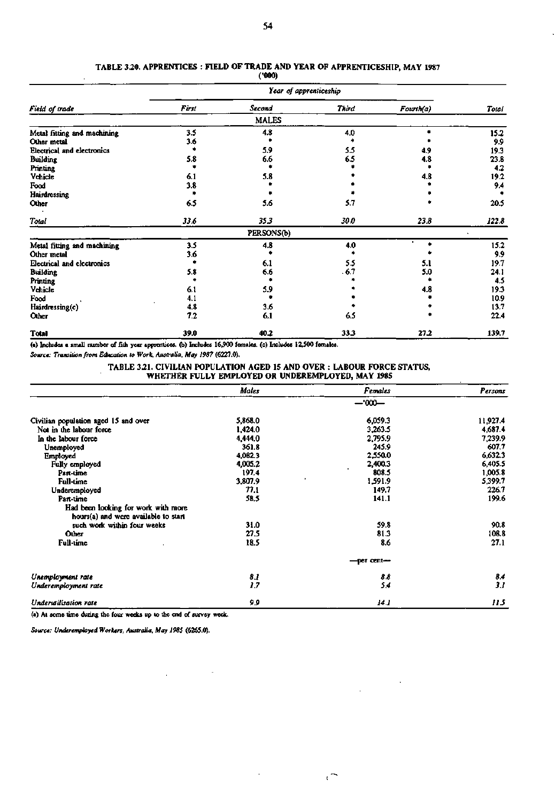|  | TABLE 3.20. APPRENTICES: FIELD OF TRADE AND YEAR OF APPRENTICESHIP, MAY 1987 |
|--|------------------------------------------------------------------------------|
|  |                                                                              |

**(\*000)** 

|                             | Year of apprenticeship |              |              |           |       |  |  |
|-----------------------------|------------------------|--------------|--------------|-----------|-------|--|--|
| Field of trade              | First                  | Second       | <b>Third</b> | Fourth(a) | Total |  |  |
|                             |                        | <b>MALES</b> |              |           |       |  |  |
| Metal fitting and machining | 3.5                    | 4.8          | 4,0          |           | 15.2  |  |  |
| Other metal                 | 3.6                    |              |              |           | 9.9   |  |  |
| Electrical and electronics  |                        | 5.9          | 5.5          | 4.9       | 19.3  |  |  |
| <b>Building</b>             | 5.8                    | 6.6          | 6.5          | 4.8       | 23.8  |  |  |
| Printing                    |                        |              |              |           | 4.2   |  |  |
| Vehicle                     | 6.1                    | 5.8          |              | 4.8       | 19.2  |  |  |
| Food                        | 3.8                    |              |              |           | 9.4   |  |  |
| Hairdressing                |                        |              |              |           |       |  |  |
| Other                       | 65                     | 5.6          | 5.7          |           | 20.5  |  |  |
| Total                       | 33.6                   | 35.3         | 30.0         | 23.8      | 122.8 |  |  |
|                             |                        | PERSONS(b)   |              |           |       |  |  |
| Metal fitting and machining | 3.5                    | 4.8          | 4.0          |           | 15.2  |  |  |
| Other metal                 | 3.6                    |              |              |           | 9.9   |  |  |
| Electrical and electronics  |                        | 6.1          | 5.5          | 5.1       | 19.7  |  |  |
| <b>Building</b>             | 5.8                    | 6.6          | . 6.7        | 5.0       | 24.1  |  |  |
| <b>Printing</b>             |                        |              |              |           | 4.5   |  |  |
| Vehicle                     | 6.1                    | 5.9          |              | 4.8       | 19.3  |  |  |
| Food                        | 4.1                    |              |              |           | 10.9  |  |  |
| Hairdressing(c)             | 4.8                    | 3.6          |              |           | 13.7  |  |  |
| Other                       | 7.2                    | 6.1          | 6.5          |           | 22.4  |  |  |
| <b>Total</b>                | 39.0                   | 40.2         | 33.3         | 27.2      | 139.7 |  |  |

(a) Includes a small number of fith year apprentices, (b) Includes 16,900 females, (c) Includes 12,500 females.

**Source** *Transition from Education to Work, Australia. May 1987* **(6227.0).** 

l,

**TABLE 3.21. CIVILUN POPULATION AGED 15 AND OVER : LABOUR FORCE STATUS, WHETHER FULLY EMPLOYED OR UNDEREMPLOYED, MAY 1985** 

 $\overline{a}$ 

 $\sim$   $\alpha$ 

 $\ddot{\phantom{a}}$ 

 $\mathfrak{c}^{\pm}$ 

|                                      | Males   | Females    | Persons  |  |  |  |  |
|--------------------------------------|---------|------------|----------|--|--|--|--|
|                                      | $-000-$ |            |          |  |  |  |  |
| Civilian population aged 15 and over | 5,868.0 | 6,059.3    | 11,927.4 |  |  |  |  |
| Not in the labour force              | 1,424.0 | 3.263.5    | 4,687.4  |  |  |  |  |
| In the labour force                  | 4,444.0 | 2,795.9    | 7,239.9  |  |  |  |  |
| Unemployed                           | 361.8   | 245.9      | 607.7    |  |  |  |  |
| Employed                             | 4.082.3 | 2,550.0    | 6,632.3  |  |  |  |  |
| Fully employed                       | 4,005.2 | 2,400.3    | 6,405.5  |  |  |  |  |
| Part-time                            | 197.4   | 808.5      | 1,005.8  |  |  |  |  |
| <b>Full-time</b>                     | 3,807.9 | 1,591.9    | 5,399.7  |  |  |  |  |
| Underemployed                        | 77.1    | 149.7      | 226.7    |  |  |  |  |
| Part-time                            | 58.5    | 141.1      | 199.6    |  |  |  |  |
| Had been looking for work with more  |         |            |          |  |  |  |  |
| hours(a) and were available to start |         |            |          |  |  |  |  |
| such work within four weeks          | 31.0    | 59.8       | 90.8     |  |  |  |  |
| Other                                | 27.5    | 81.3       | 108.8    |  |  |  |  |
| Full-time                            | 18.5    | 8.6        | 27.1     |  |  |  |  |
|                                      |         | —per cent— |          |  |  |  |  |
| Unemployment rate                    | 8.1     | 8.8        | 8.4      |  |  |  |  |
| Underemployment rate                 | 1.7     | 5,4        | 3.1      |  |  |  |  |
| Underwillsation rate                 | 9,9     | 14.1       | 115      |  |  |  |  |

(a) At some time during the four weeks up to the end of survey week.

 $\Delta \phi = 0.0000$ 

*Source: Underemployed Workers, Australia, May 1985* **(6265.0).**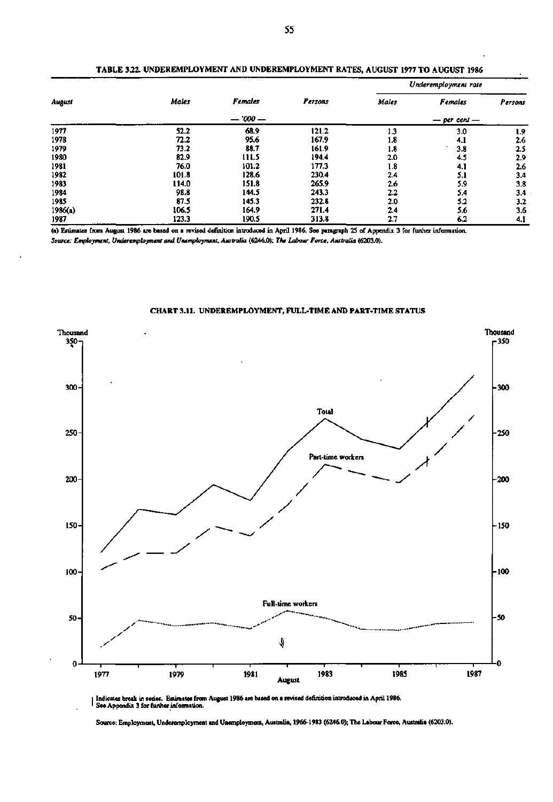| August  |       | Females   |              | Underemployment rate |                |         |  |
|---------|-------|-----------|--------------|----------------------|----------------|---------|--|
|         | Males |           | Persons      | Males                | <b>Females</b> | Persons |  |
|         |       | $-7000 -$ | — per cent — |                      |                |         |  |
| 1977    | 52.2  | 68.9      | 121.2        | 1.3                  | 3.0            | 1.9     |  |
| 1978    | 72.2  | 95.6      | 167.9        | 1.8                  | 4.1            | 2.6     |  |
| 1979    | 73.2  | 88.7      | 161.9        | 1.8                  | 3.8            | 2.5     |  |
| 1980    | 82.9  | 111.5     | 194.4        | 2.0                  | 4.5            | 2.9     |  |
| 1981    | 76.0  | 101.2     | 177.3        | 1.8                  | 4.1            | 2.6     |  |
| 1982    | 101.8 | 128.6     | 230.4        | 2.4                  | 5.1            | 3,4     |  |
| 1983    | 114.0 | 151.8     | 265.9        | 2.6                  | 5.9            | 3.8     |  |
| 1984    | 98.8  | 144.5     | 243.3        | 2.2                  | 5.4            | 3.4     |  |
| 1985    | 87.5  | 145.3     | 232.8        | 2.0                  | 5.2            | 3.2     |  |
| 1986(a) | 106.5 | 164.9     | 271.4        | 2.4                  | 5.6            | 3.6     |  |
| 1987    | 123.3 | 190.5     | 313.8        | 2.7                  | 6.2            | 4.1     |  |

**TABLE** *322.* **UNDEREMPLOYMENT AND UNDEREMPLOYMENT RATES, AUGUST 1977 TO AUGUST 1986** 

**(a) Estimates from August 1986 are based on a revised definition introduced in April 1986. See paragraph 25 of Appendix 3 for further information.** 

*Source: Employment, Underemployment and Unemployment, Australia* **(6246.0);** *The Labour Force, Australia* **(6203.0).** 



**CHART 3.11. UNDEREMPLOYMENT, FULL-TIME AND PART-TIME STATUS** 

**IIndicates break in series. Estimates from August 1986 are based on a revised definition introduced in April 1986. ' See Appendix 3 for further information.** 

**Source: Employment, Underemployment and Unemployment, Australia, 1966-1983 (6246.0); The Labour Force, Australia (6203.0).**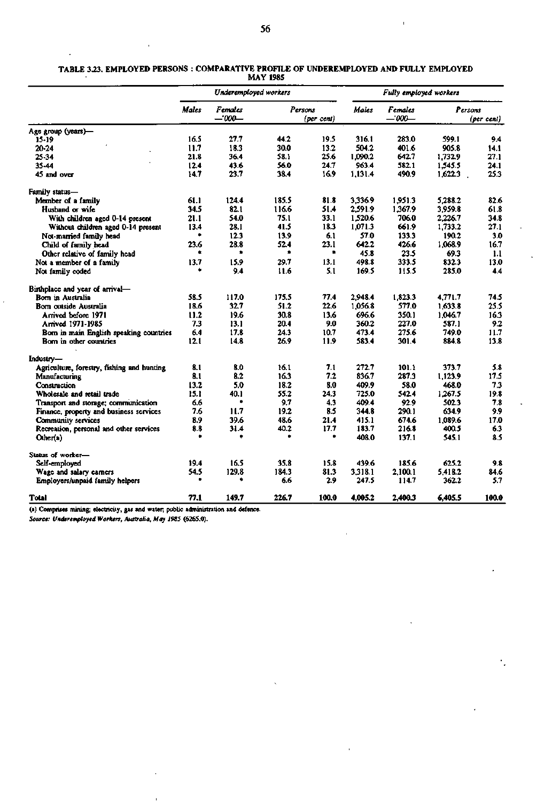|                                            | Underemployed workers |                     |         |            | Fully employed workers |                  |                       |       |
|--------------------------------------------|-----------------------|---------------------|---------|------------|------------------------|------------------|-----------------------|-------|
|                                            | <b>Males</b>          | Females<br>--'000-- | Persons | (per cent) | Males                  | Females<br>-000- | Persons<br>(per cent) |       |
| Age group (years)-                         |                       |                     |         |            |                        |                  |                       |       |
| 15-19                                      | 16.5                  | 27.7                | 44.2    | 19.5       | 316.1                  | 283.0            | 599.1                 | 9.4   |
| 20-24                                      | 11.7                  | 18.3                | 30.0    | 13.2       | 504.2                  | 401.6            | 905.8                 | 14.1  |
| 25-34                                      | 21.8                  | 36.4                | 58.1    | 25.6       | 1.090.2                | 642.7            | 1.732.9               | 27.1  |
| 35-44                                      | 12.4                  | 43.6                | 56.0    | 24.7       | 963.4                  | 582.1            | 1.545.5               | 24.1  |
| 45 and over                                | 14.7                  | 23.7                | 38.4    | 16.9       | 1,131.4                | 490.9            | 1,622.3               | 25.3  |
| Family status-                             |                       |                     |         |            |                        |                  |                       |       |
| Member of a family                         | 61.1                  | 124.4               | 185.5   | 81.8       | 3.336.9                | 1,951.3          | 5.288.2               | 82.6  |
| Husband or wife                            | 34.5                  | 82.1                | 116.6   | 51.4       | 2.591.9                | 1,367.9          | 3.959.8               | 61.8  |
| With children aged 0-14 present            | 21.1                  | 54.0                | 75.1    | 33.1       | 1,520.6                | 706.0            | 2.226.7               | 34.8  |
| Without children aged 0-14 present         | 13.4                  | 28.1                | 41.5    | 18.3       | 1,071.3                | 661.9            | 1,733.2               | 27.1  |
| Not-married family head                    | ۰                     | 12.3                | 13.9    | 6.1        | 57.0                   | 133.3            | 190.2                 | 3.0   |
| Child of family head                       | 23.6                  | 28.8                | 52.4    | 23.1       | 642.2                  | 426.6            | 1.068.9               | 16.7  |
| Other relative of family head              | ۰                     | ۰                   | ۰       | ۰          | 45.8                   | 23.5             | 69.3                  | 1.1   |
| Not a member of a family                   | 13.7                  | 15.9                | 29.7    | 13.1       | 498.8                  | 333.5            | 832.3                 | 13.0  |
| Not family coded                           | ٠                     | 9.4                 | 11.6    | 5.1        | 169.5                  | 115.5            | 285.0                 | 4.4   |
| Birthplace and year of arrival-            |                       |                     |         |            |                        |                  |                       |       |
| Bom in Australia                           | 58.5                  | 117.0               | 175.5   | 77.4       | 2,948.4                | 1,823.3          | 4.771.7               | 74.5  |
| Bom outside Australia                      | 18.6                  | 32.7                | 51.2    | 22.6       | 1,056.8                | 577.0            | 1,633.8               | 25.5  |
| Arrived before 1971                        | 11.2                  | 19.6                | 30.8    | 13.6       | 696.6                  | 350.1            | 1.046.7               | 16.3  |
| Arrived 1971-1985                          | 7.3                   | 13.1                | 20.4    | 9.0        | 360.2                  | 227.0            | 587.1                 | 9.2   |
| Born in main English speaking countries    | 6.4                   | 17.8                | 24.3    | 10.7       | 473.4                  | 275.6            | 749.0                 | 11.7  |
| Bom in other countries                     | 12.1                  | 14.8                | 26.9    | 11.9       | 583.4                  | 301.4            | 884.8                 | 13.8  |
| Industry-                                  |                       |                     |         |            |                        |                  |                       |       |
| Agriculture, forestry, fishing and hunting | 8.1                   | 8.0                 | 16.1    | 7.1        | 272.7                  | 101.1            | 373.7                 | 5.8   |
| Manufacturing                              | 3.1                   | 8.2                 | 16.3    | 7.2        | 836.7                  | 287.3            | 1,123.9               | 17.5  |
| Construction                               | 13.2                  | 5.0                 | 18.2    | 8.0        | 409.9                  | 58.0             | 468.0                 | 7.3   |
| Wholesale and retail trade                 | 15.1                  | 40.1                | 55.2    | 24.3       | 725.0                  | 542.4            | 1.267.5               | 19.8  |
| Transport and storage; communication       | 6.6                   | ۰                   | 9.7     | 4.3        | 409.4                  | 92.9             | 502.3                 | 7.8   |
| Finance, property and business services    | 7.6                   | 11.7                | 19.2    | 8.5        | 344.8                  | 290.1            | 634.9                 | 9.9   |
| Community services                         | 8.9                   | 39.6                | 48.6    | 21.4       | 415.1                  | 674.6            | 1.089.6               | 17.0  |
| Recreation, personal and other services    | 8.8                   | 31.4                | 40.2    | 17.7       | 183.7                  | 216.8            | 400.5                 | 6.3   |
| Other(a)                                   |                       | ٠                   |         | ۰          | 408.0                  | 137.1            | 545.1                 | 8.5   |
| Status of worker-                          |                       |                     |         |            |                        |                  |                       |       |
| Self-employed                              | 19.4                  | 16.5                | 35.8    | 15.8       | 439.6                  | 185.6            | 625.2                 | 9.8   |
| Wage and salary earners                    | 54.5                  | 129.8               | 184.3   | 81.3       | 3.318.1                | 2.100.1          | 5.418.2               | 84.6  |
| Employers/unpaid family helpers            |                       | ۰                   | 6.6     | 2.9        | 247.5                  | 114.7            | 362.2                 | 5.7   |
| Total                                      | 77.1                  | 149.7               | 226.7   | 100.0      | 4,005.2                | 2,400.3          | 6,405.5               | 100.0 |

### **TABLE 3.23. EMPLOYED PERSONS : COMPARATIVE PROFILE OF UNDEREMPLOYED AND FULLY EMPLOYED MAY 1985**

**(a) Comprises mining; electricity, gas and water; public administration and defence.** 

*Source: Underemployed Workers, Australia. May 1985* **(626S.0).**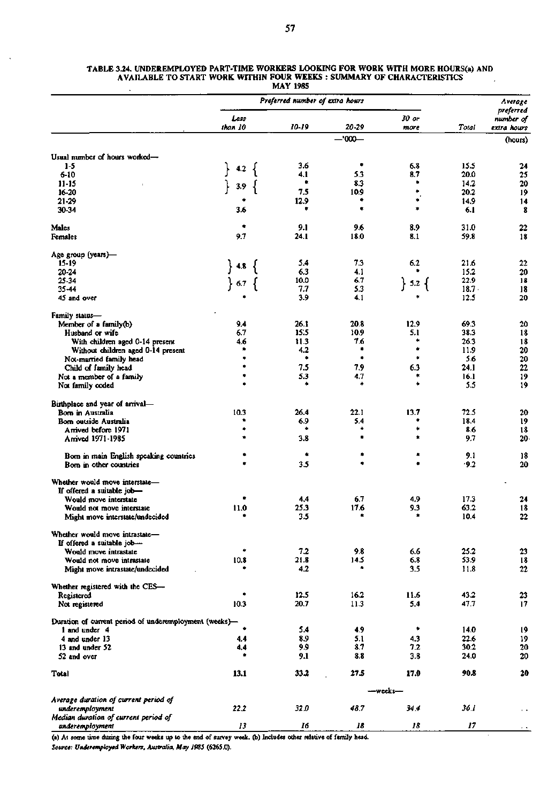### *Preferred number of extra hours* Average **Average** *preferred Less 30 or number of than 10 10-19 20-29 more Total extra hours*  —•000— (hours) Usual number of hours worked— 1-5 **}« {** 3.6 **•** 6.8 15.5 24 6-10 4.1 5.3 8.7 20.0 25 11-15 *\* 3.9 **{ \*** 8.3 **\*** 14.2 20 16-20<br>21-29 7.5 10.9 **\*** 20.2 19 21-29 **\*** 12.9 **\* \*** 14.9 14 30-34 3.6 **\* \* \*** 6.1 8 Males **\*** 9.1 9.6 8.9 31.0 22 Females 9.7 24.1 18.0 8.1 59.8 18 Age group (years)-<br>15-19 15-19 **15-19 15.4 8 15.4 7.3** 6.2 **21.6 22**<br>20-24 **15.2** 20 20-24 6.3 4.1 **\*** 15.2 20 25-34 **} 6.7 {**  $\begin{bmatrix} 10.0 & 6.7 \ 7.7 & 5.3 \end{bmatrix}$  **5.2 {**  $\begin{bmatrix} 22.9 & 18 \ 18.7 & 18 \end{bmatrix}$  $35-44$  18.7. 18 45 and over **\*** 3.9 4.1 **\*** 12.5 20 Family status-Member of a family(b) 3.4 26.1 20.8 12.9 69.3 20<br>
Husband or wife 3.8 6.7 15.5 10.9 5.1 38.3 18 Husband or wife 18.3 18 18<br>
With children aged 0-14 present 16.6 11.3 1.4.6 11.3 1.6 11.3 1.6 18 With children aged 0-14 present 4.6 11.3 7.6 **\*** 26.3 18 Without children aged 0-14 present **\*** 4.2 **\* \*** 11.9 20 Not-married family head **\* \* \* \*** 5.6 20<br>
Child of family head **\*** 7.5 7.9 6.3 24.1 22 Child of family head **\* 7.5** 7.9 6.3 24.1 22<br>
ot a member of a family **\*** 5.3 4.7 **\*** 16.1 19 Not a member of a family **\*** 5.3 4.7 **\*** 16.1 19<br>Not family coded **\* \* \*** 5.5 19 Not family coded **• \* \* \*** 5.5 19 Birthplace and year of arrival— Bom in Australia 10.3 26.4 22.1 13.7 72.5 20 Bom outside Australia **\*** 6.9 5.4 **\*** 18.4 19 Arrived before 1971 **\* \* \* \*** 8.6 18 Arrived 1971-1985 **\*** 3.8 **\* \*** 9.7 20 Bom in main English speaking countries **• \* \* \*** 9.1 18 Bom in other countries **•** 3.5 **• \*** '9.2 20 Whether would move interstate— **.**  If offered a suitable job-Would move interstate **•** 4.4 6.7 4.9 17.3 24 Would not move interstate interstate in the control of the control of the control of the control of the control of the control of the control of the control of the control of the control of the control of the control of th **Might move interstate/undecided** Whether would move intrastate-If offered a suitable job— Would move intrastate **\*** 7.2 9.8 6.6 25.2 23 Would not move intrastate Might move intrastate/undecided **\*** 4.2 **\*** 3.5 11.8 22 Whether registered with the CES— Registered **12.5 16.2 11.6 43.2 23** Not registered 10.3 20.7 11.3 5.4 47.7 17 Duration of current period of underemployment (weeks)— 1 and under 4 **\*** 5.4 4.9 **\*** 14.0 19 4 and under 13 4.4 4.4 5.9 5.1 4.3 22.6 19<br>13 and under 52 4.4 4.4 9.9 8.7 7.2 30.2 20 13 and under 52 13 and the set of the set of the set of the set of the set of the set of the set of the set of<br>
13 and over 13 and over 13 and over 13 and over 13 and over 13 and over 13 and over 13 and over 13 and over 1 52 and over **\*** 9.1 8.8 3.8 24.0 20 **Total 13.1 33.2** 27.5 **17.0** 90.8 **20**  -weeks— *Average duration of current period of underemployment Median duration of current period of underemployment 222 13 32.0 16 48.7 18 34.4 18 36.1 17*

### **TABLE 3.24. UNDEREMPLOYED PART-TIME WORKERS LOOKING FOR WORK WITH MORE HOURS(a)** AND **AVAILABLE TO START WORK WITHIN FOUR WEEKS : SUMMARY OF CHARACTERISTICS MAY 1985**

(a) At some time during the four weeks up to the end of survey week, (b) Includes other relative of family head. *Source: Underemployed Workers, Australia, May 1985* **(626S.0).**